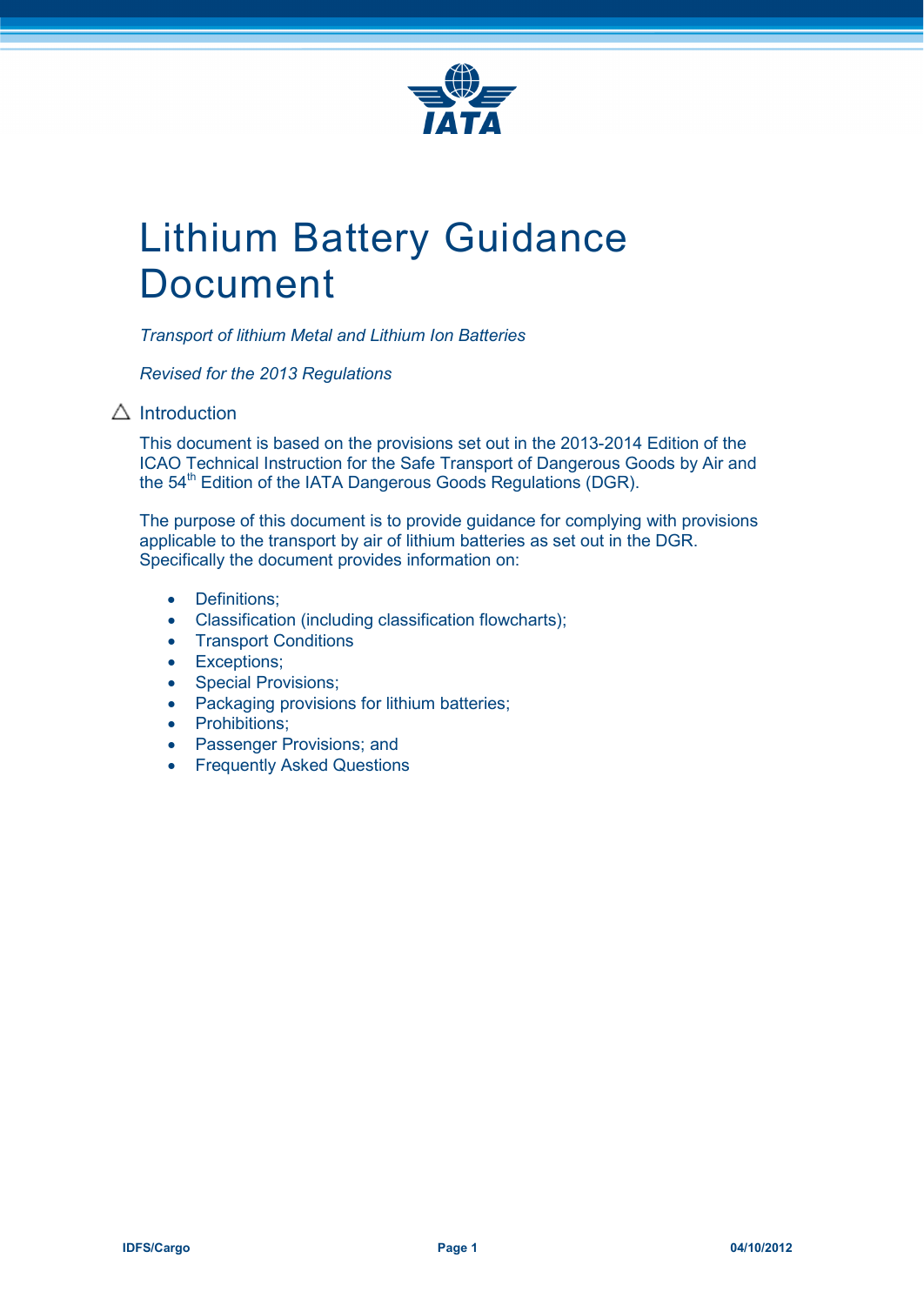

# Lithium Battery Guidance Document

*Transport of lithium Metal and Lithium Ion Batteries*

*Revised for the 2013 Regulations*

## $\triangle$  Introduction

This document is based on the provisions set out in the 2013-2014 Edition of the ICAO Technical Instruction for the Safe Transport of Dangerous Goods by Air and the 54<sup>th</sup> Edition of the IATA Dangerous Goods Regulations (DGR).

The purpose of this document is to provide guidance for complying with provisions applicable to the transport by air of lithium batteries as set out in the DGR. Specifically the document provides information on:

- Definitions;
- Classification (including classification flowcharts);
- Transport Conditions
- Exceptions;
- Special Provisions:
- Packaging provisions for lithium batteries;
- Prohibitions;
- Passenger Provisions; and
- Frequently Asked Questions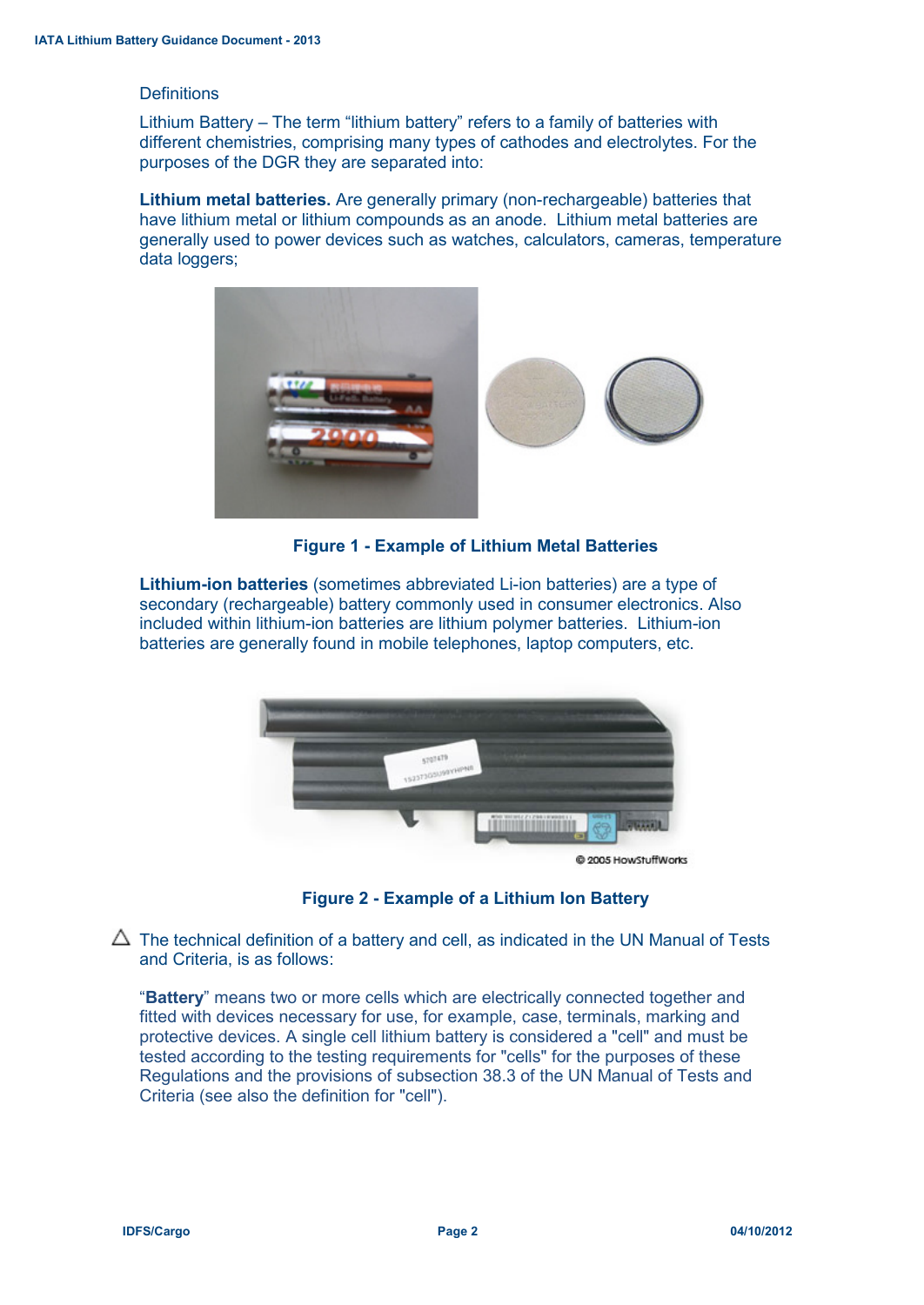#### **Definitions**

Lithium Battery – The term "lithium battery" refers to a family of batteries with different chemistries, comprising many types of cathodes and electrolytes. For the purposes of the DGR they are separated into:

**Lithium metal batteries.** Are generally primary (non-rechargeable) batteries that have lithium metal or lithium compounds as an anode. Lithium metal batteries are generally used to power devices such as watches, calculators, cameras, temperature data loggers;



**Figure 1 - Example of Lithium Metal Batteries**

**Lithium-ion batteries** (sometimes abbreviated Li-ion batteries) are a type of secondary (rechargeable) battery commonly used in consumer electronics. Also included within lithium-ion batteries are lithium polymer batteries. Lithium-ion batteries are generally found in mobile telephones, laptop computers, etc.



@ 2005 HowStuffWorks

#### **Figure 2 - Example of a Lithium Ion Battery**

 $\Delta$  The technical definition of a battery and cell, as indicated in the UN Manual of Tests and Criteria, is as follows:

"**Battery**" means two or more cells which are electrically connected together and fitted with devices necessary for use, for example, case, terminals, marking and protective devices. A single cell lithium battery is considered a "cell" and must be tested according to the testing requirements for "cells" for the purposes of these Regulations and the provisions of subsection 38.3 of the UN Manual of Tests and Criteria (see also the definition for "cell").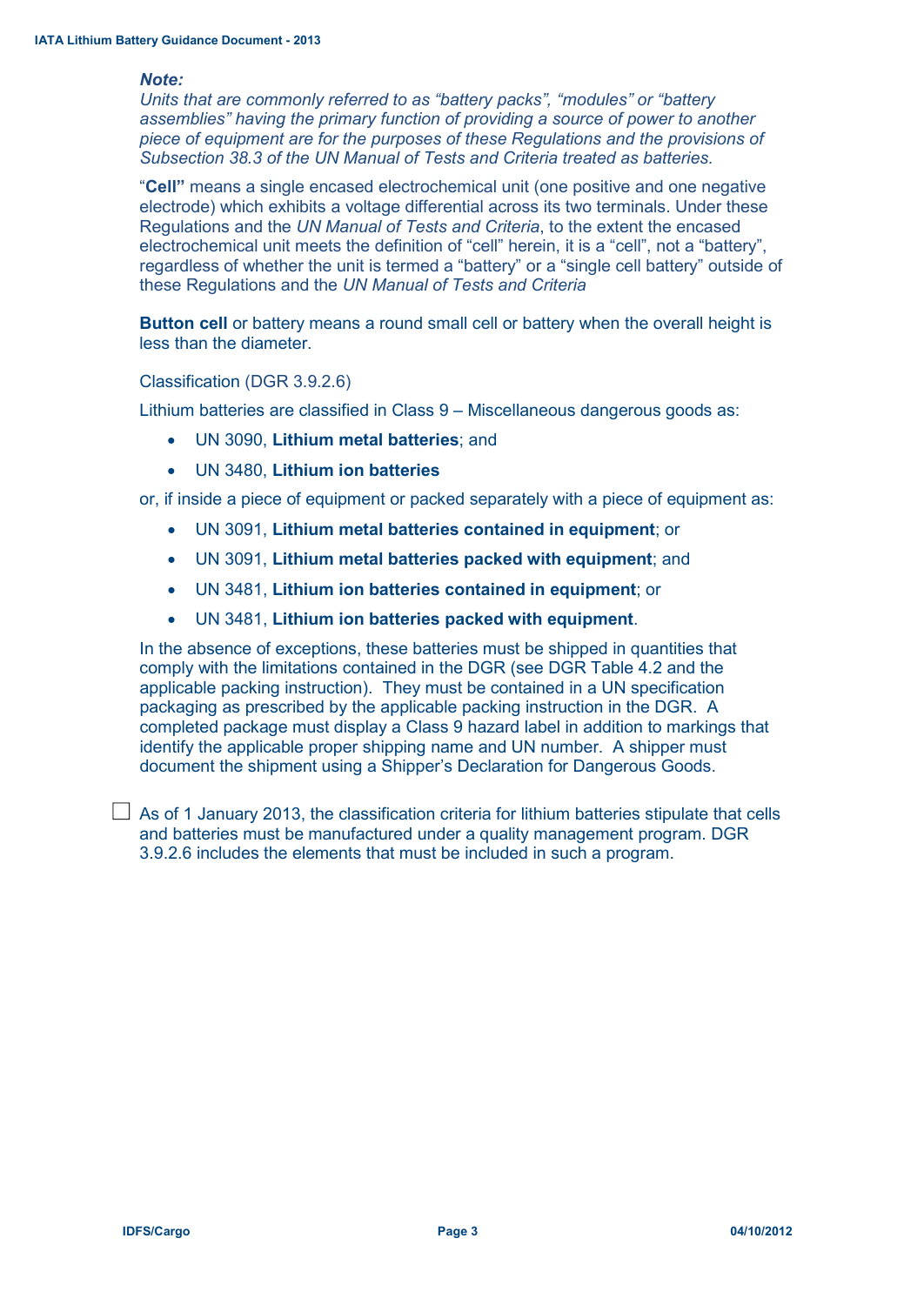#### *Note:*

*Units that are commonly referred to as "battery packs", "modules" or "battery assemblies" having the primary function of providing a source of power to another piece of equipment are for the purposes of these Regulations and the provisions of Subsection 38.3 of the UN Manual of Tests and Criteria treated as batteries.*

"**Cell"** means a single encased electrochemical unit (one positive and one negative electrode) which exhibits a voltage differential across its two terminals. Under these Regulations and the *UN Manual of Tests and Criteria*, to the extent the encased electrochemical unit meets the definition of "cell" herein, it is a "cell", not a "battery", regardless of whether the unit is termed a "battery" or a "single cell battery" outside of these Regulations and the *UN Manual of Tests and Criteria*

**Button cell** or battery means a round small cell or battery when the overall height is less than the diameter.

Classification (DGR 3.9.2.6)

Lithium batteries are classified in Class 9 – Miscellaneous dangerous goods as:

- UN 3090, **Lithium metal batteries**; and
- UN 3480, **Lithium ion batteries**

or, if inside a piece of equipment or packed separately with a piece of equipment as:

- UN 3091, **Lithium metal batteries contained in equipment**; or
- UN 3091, **Lithium metal batteries packed with equipment**; and
- UN 3481, **Lithium ion batteries contained in equipment**; or
- UN 3481, **Lithium ion batteries packed with equipment**.

In the absence of exceptions, these batteries must be shipped in quantities that comply with the limitations contained in the DGR (see DGR Table 4.2 and the applicable packing instruction). They must be contained in a UN specification packaging as prescribed by the applicable packing instruction in the DGR. A completed package must display a Class 9 hazard label in addition to markings that identify the applicable proper shipping name and UN number. A shipper must document the shipment using a Shipper's Declaration for Dangerous Goods.

 $\Box$  As of 1 January 2013, the classification criteria for lithium batteries stipulate that cells and batteries must be manufactured under a quality management program. DGR 3.9.2.6 includes the elements that must be included in such a program.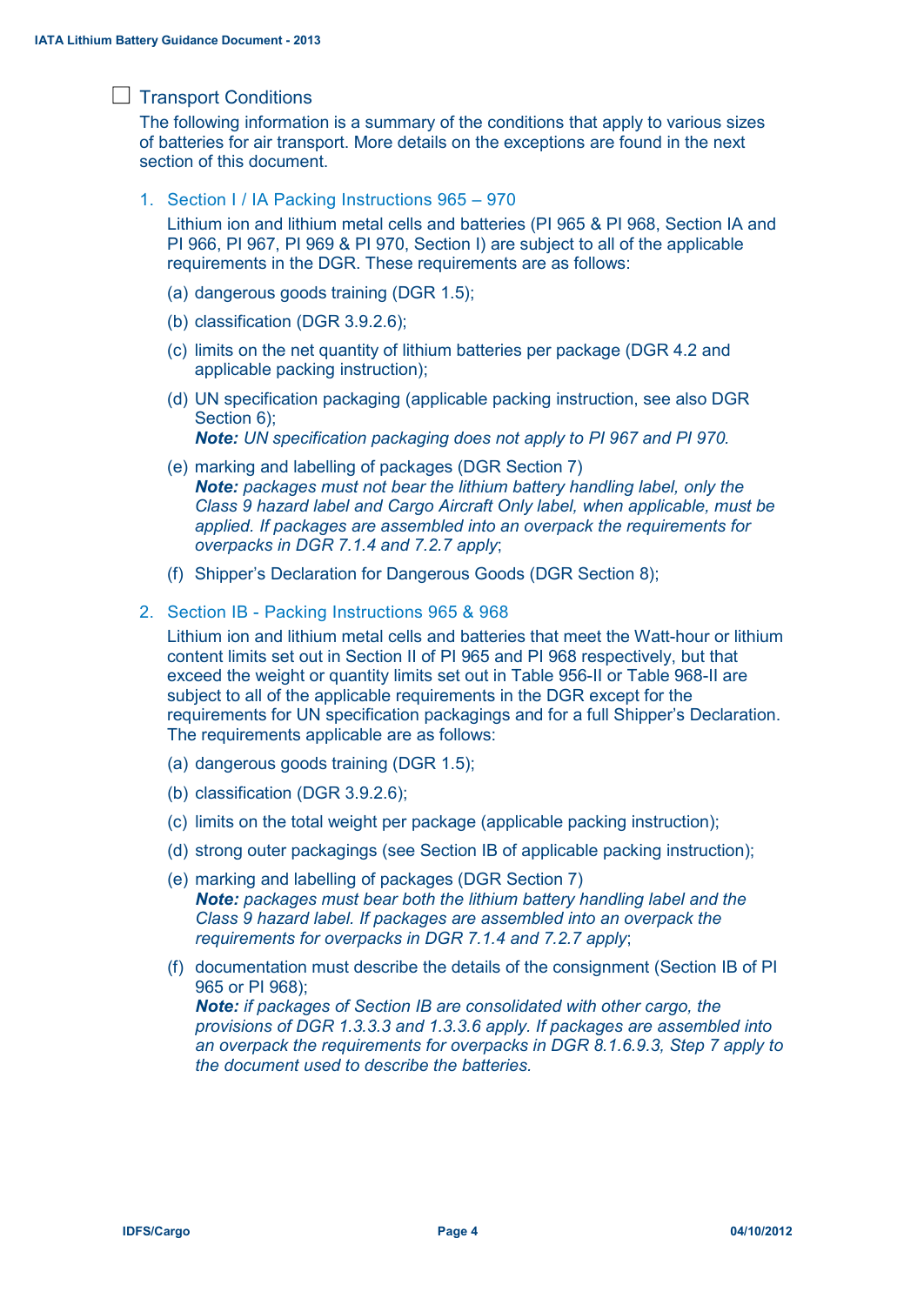## $\Box$  Transport Conditions

The following information is a summary of the conditions that apply to various sizes of batteries for air transport. More details on the exceptions are found in the next section of this document.

1. Section I / IA Packing Instructions 965 – 970

Lithium ion and lithium metal cells and batteries (PI 965 & PI 968, Section IA and PI 966, PI 967, PI 969 & PI 970, Section I) are subject to all of the applicable requirements in the DGR. These requirements are as follows:

- (a) dangerous goods training (DGR 1.5);
- (b) classification (DGR 3.9.2.6);
- (c) limits on the net quantity of lithium batteries per package (DGR 4.2 and applicable packing instruction);
- (d) UN specification packaging (applicable packing instruction, see also DGR Section 6):

*Note: UN specification packaging does not apply to PI 967 and PI 970.*

- (e) marking and labelling of packages (DGR Section 7) *Note: packages must not bear the lithium battery handling label, only the Class 9 hazard label and Cargo Aircraft Only label, when applicable, must be applied. If packages are assembled into an overpack the requirements for overpacks in DGR 7.1.4 and 7.2.7 apply*;
- (f) Shipper's Declaration for Dangerous Goods (DGR Section 8);
- 2. Section IB Packing Instructions 965 & 968

Lithium ion and lithium metal cells and batteries that meet the Watt-hour or lithium content limits set out in Section II of PI 965 and PI 968 respectively, but that exceed the weight or quantity limits set out in Table 956-II or Table 968-II are subject to all of the applicable requirements in the DGR except for the requirements for UN specification packagings and for a full Shipper's Declaration. The requirements applicable are as follows:

- (a) dangerous goods training (DGR 1.5);
- (b) classification (DGR 3.9.2.6);
- (c) limits on the total weight per package (applicable packing instruction);
- (d) strong outer packagings (see Section IB of applicable packing instruction);
- (e) marking and labelling of packages (DGR Section 7) *Note: packages must bear both the lithium battery handling label and the Class 9 hazard label. If packages are assembled into an overpack the requirements for overpacks in DGR 7.1.4 and 7.2.7 apply*;
- (f) documentation must describe the details of the consignment (Section IB of PI 965 or PI 968);

*Note: if packages of Section IB are consolidated with other cargo, the provisions of DGR 1.3.3.3 and 1.3.3.6 apply. If packages are assembled into an overpack the requirements for overpacks in DGR 8.1.6.9.3, Step 7 apply to the document used to describe the batteries.*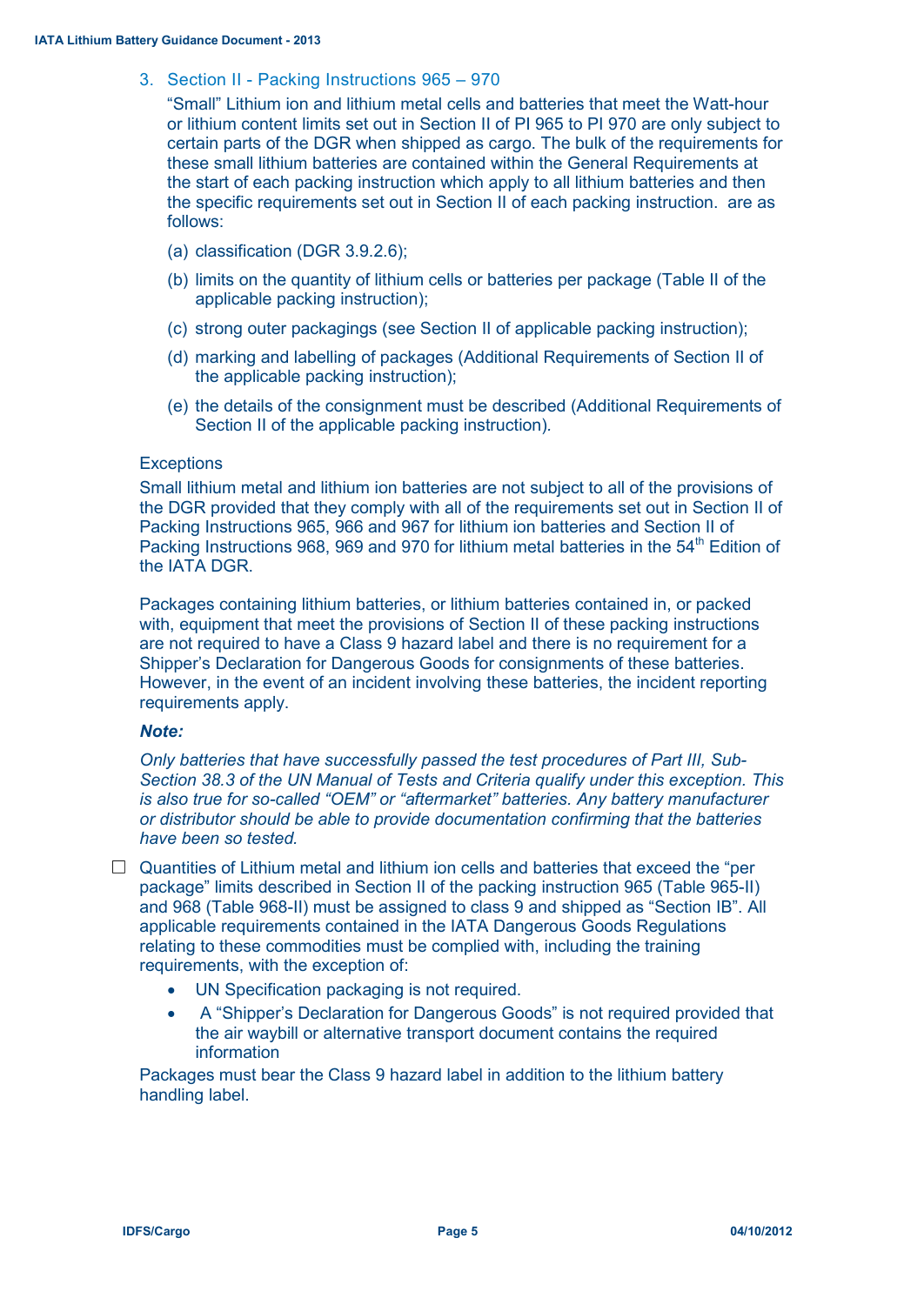## 3. Section II - Packing Instructions 965 – 970

"Small" Lithium ion and lithium metal cells and batteries that meet the Watt-hour or lithium content limits set out in Section II of PI 965 to PI 970 are only subject to certain parts of the DGR when shipped as cargo. The bulk of the requirements for these small lithium batteries are contained within the General Requirements at the start of each packing instruction which apply to all lithium batteries and then the specific requirements set out in Section II of each packing instruction. are as follows:

- (a) classification (DGR 3.9.2.6);
- (b) limits on the quantity of lithium cells or batteries per package (Table II of the applicable packing instruction);
- (c) strong outer packagings (see Section II of applicable packing instruction);
- (d) marking and labelling of packages (Additional Requirements of Section II of the applicable packing instruction);
- (e) the details of the consignment must be described (Additional Requirements of Section II of the applicable packing instruction)*.*

#### **Exceptions**

Small lithium metal and lithium ion batteries are not subject to all of the provisions of the DGR provided that they comply with all of the requirements set out in Section II of Packing Instructions 965, 966 and 967 for lithium ion batteries and Section II of Packing Instructions 968, 969 and 970 for lithium metal batteries in the 54<sup>th</sup> Edition of the IATA DGR.

Packages containing lithium batteries, or lithium batteries contained in, or packed with, equipment that meet the provisions of Section II of these packing instructions are not required to have a Class 9 hazard label and there is no requirement for a Shipper's Declaration for Dangerous Goods for consignments of these batteries. However, in the event of an incident involving these batteries, the incident reporting requirements apply.

#### *Note:*

*Only batteries that have successfully passed the test procedures of Part III, Sub-Section 38.3 of the UN Manual of Tests and Criteria qualify under this exception. This is also true for so-called "OEM" or "aftermarket" batteries. Any battery manufacturer or distributor should be able to provide documentation confirming that the batteries have been so tested.*

 $\Box$  Quantities of Lithium metal and lithium ion cells and batteries that exceed the "per package" limits described in Section II of the packing instruction 965 (Table 965-II) and 968 (Table 968-II) must be assigned to class 9 and shipped as "Section IB". All applicable requirements contained in the IATA Dangerous Goods Regulations relating to these commodities must be complied with, including the training requirements, with the exception of:

- UN Specification packaging is not required.
- A "Shipper's Declaration for Dangerous Goods" is not required provided that the air waybill or alternative transport document contains the required information

Packages must bear the Class 9 hazard label in addition to the lithium battery handling label.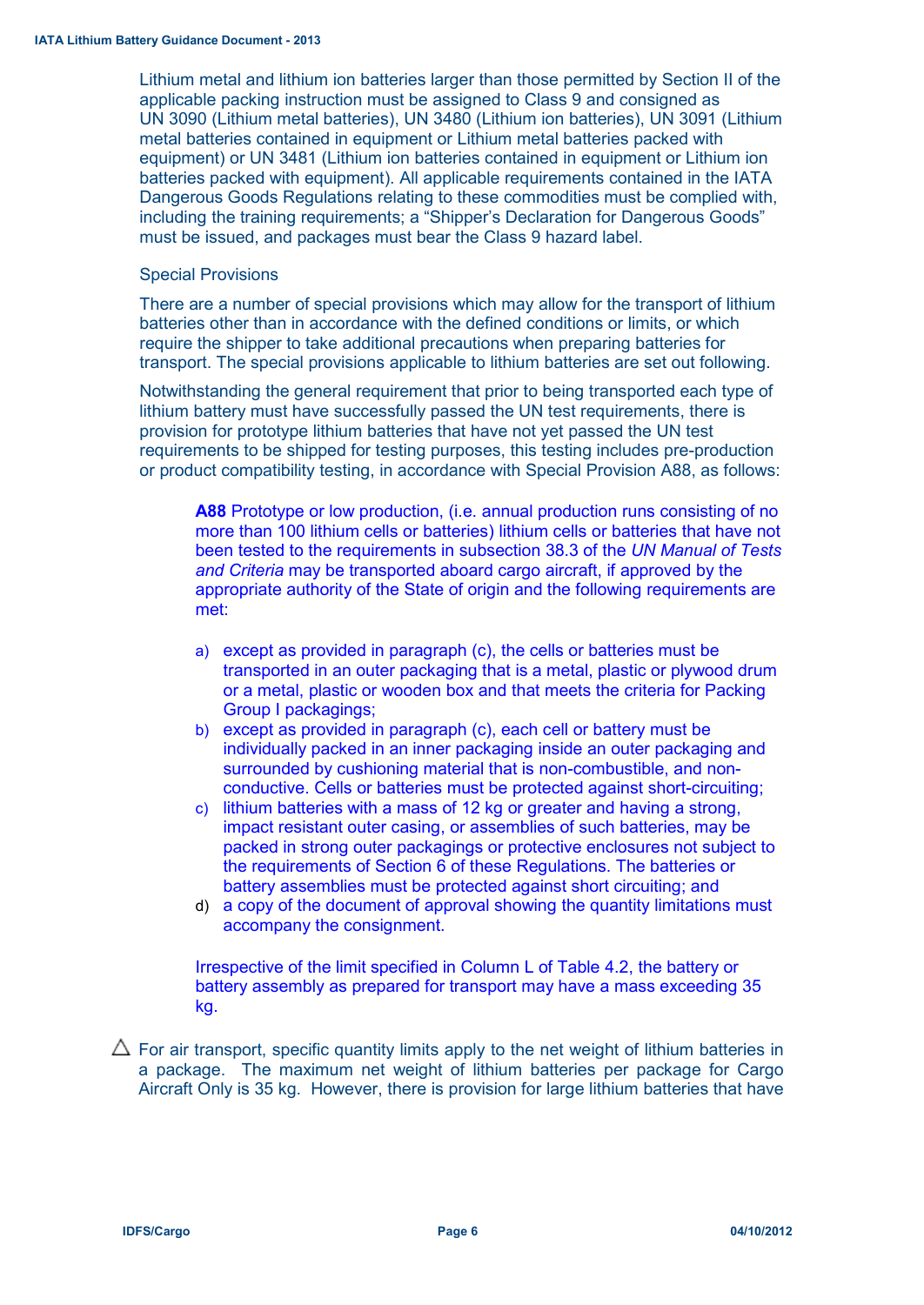Lithium metal and lithium ion batteries larger than those permitted by Section II of the applicable packing instruction must be assigned to Class 9 and consigned as UN 3090 (Lithium metal batteries), UN 3480 (Lithium ion batteries), UN 3091 (Lithium metal batteries contained in equipment or Lithium metal batteries packed with equipment) or UN 3481 (Lithium ion batteries contained in equipment or Lithium ion batteries packed with equipment). All applicable requirements contained in the IATA Dangerous Goods Regulations relating to these commodities must be complied with, including the training requirements; a "Shipper's Declaration for Dangerous Goods" must be issued, and packages must bear the Class 9 hazard label.

#### Special Provisions

There are a number of special provisions which may allow for the transport of lithium batteries other than in accordance with the defined conditions or limits, or which require the shipper to take additional precautions when preparing batteries for transport. The special provisions applicable to lithium batteries are set out following.

Notwithstanding the general requirement that prior to being transported each type of lithium battery must have successfully passed the UN test requirements, there is provision for prototype lithium batteries that have not yet passed the UN test requirements to be shipped for testing purposes, this testing includes pre-production or product compatibility testing, in accordance with Special Provision A88, as follows:

**A88** Prototype or low production, (i.e. annual production runs consisting of no more than 100 lithium cells or batteries) lithium cells or batteries that have not been tested to the requirements in subsection 38.3 of the *UN Manual of Tests and Criteria* may be transported aboard cargo aircraft, if approved by the appropriate authority of the State of origin and the following requirements are met:

- a) except as provided in paragraph (c), the cells or batteries must be transported in an outer packaging that is a metal, plastic or plywood drum or a metal, plastic or wooden box and that meets the criteria for Packing Group I packagings;
- b) except as provided in paragraph (c), each cell or battery must be individually packed in an inner packaging inside an outer packaging and surrounded by cushioning material that is non-combustible, and nonconductive. Cells or batteries must be protected against short-circuiting;
- c) lithium batteries with a mass of 12 kg or greater and having a strong, impact resistant outer casing, or assemblies of such batteries, may be packed in strong outer packagings or protective enclosures not subject to the requirements of Section 6 of these Regulations. The batteries or battery assemblies must be protected against short circuiting; and
- d) a copy of the document of approval showing the quantity limitations must accompany the consignment.

Irrespective of the limit specified in Column L of Table 4.2, the battery or battery assembly as prepared for transport may have a mass exceeding 35 kg.

 $\Delta$  For air transport, specific quantity limits apply to the net weight of lithium batteries in a package. The maximum net weight of lithium batteries per package for Cargo Aircraft Only is 35 kg. However, there is provision for large lithium batteries that have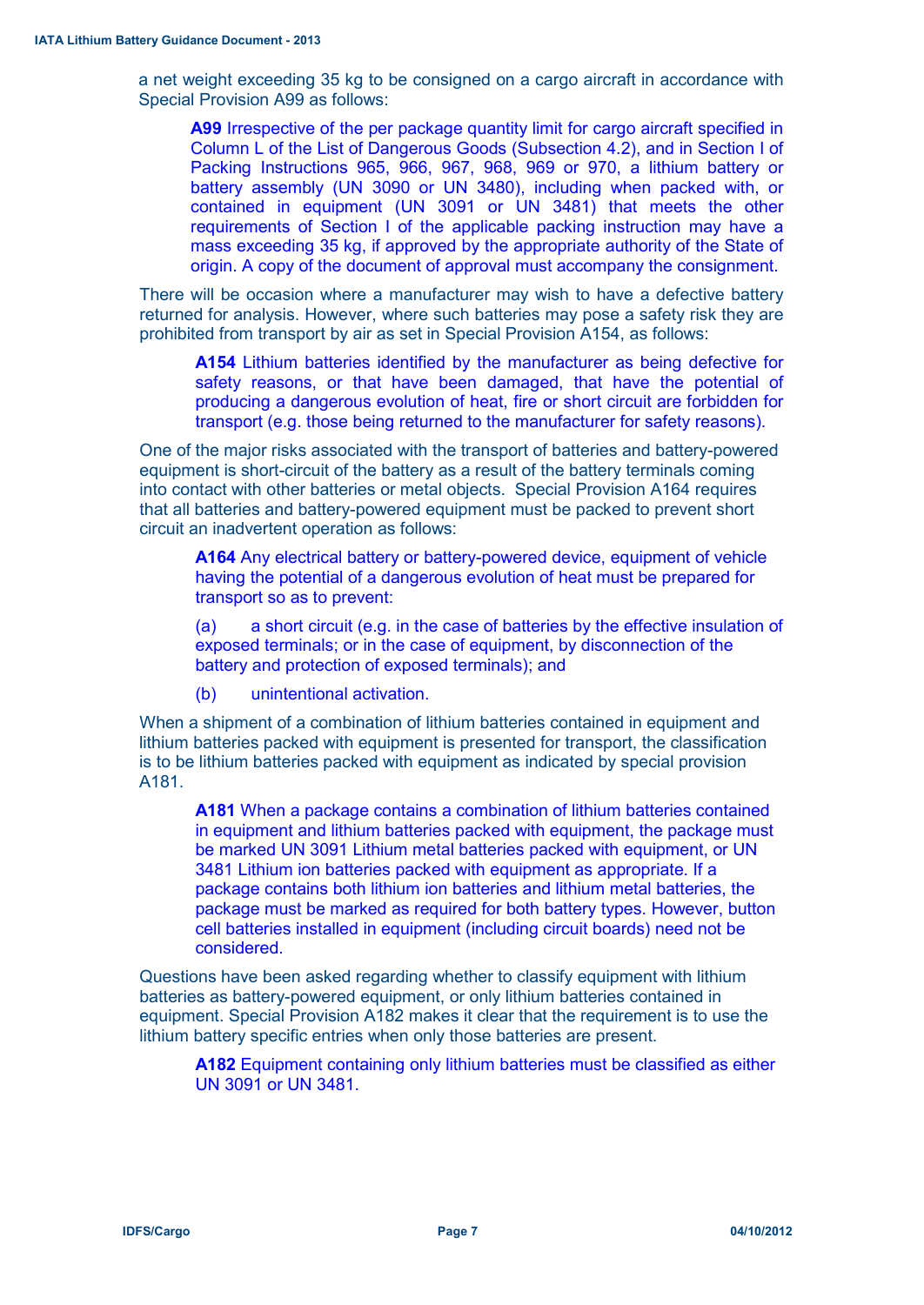a net weight exceeding 35 kg to be consigned on a cargo aircraft in accordance with Special Provision A99 as follows:

**A99** Irrespective of the per package quantity limit for cargo aircraft specified in Column L of the List of Dangerous Goods (Subsection 4.2), and in Section I of Packing Instructions 965, 966, 967, 968, 969 or 970, a lithium battery or battery assembly (UN 3090 or UN 3480), including when packed with, or contained in equipment (UN 3091 or UN 3481) that meets the other requirements of Section I of the applicable packing instruction may have a mass exceeding 35 kg, if approved by the appropriate authority of the State of origin. A copy of the document of approval must accompany the consignment.

There will be occasion where a manufacturer may wish to have a defective battery returned for analysis. However, where such batteries may pose a safety risk they are prohibited from transport by air as set in Special Provision A154, as follows:

**A154** Lithium batteries identified by the manufacturer as being defective for safety reasons, or that have been damaged, that have the potential of producing a dangerous evolution of heat, fire or short circuit are forbidden for transport (e.g. those being returned to the manufacturer for safety reasons).

One of the major risks associated with the transport of batteries and battery-powered equipment is short-circuit of the battery as a result of the battery terminals coming into contact with other batteries or metal objects. Special Provision A164 requires that all batteries and battery-powered equipment must be packed to prevent short circuit an inadvertent operation as follows:

**A164** Any electrical battery or battery-powered device, equipment of vehicle having the potential of a dangerous evolution of heat must be prepared for transport so as to prevent:

(a) a short circuit (e.g. in the case of batteries by the effective insulation of exposed terminals; or in the case of equipment, by disconnection of the battery and protection of exposed terminals); and

(b) unintentional activation.

When a shipment of a combination of lithium batteries contained in equipment and lithium batteries packed with equipment is presented for transport, the classification is to be lithium batteries packed with equipment as indicated by special provision A181.

**A181** When a package contains a combination of lithium batteries contained in equipment and lithium batteries packed with equipment, the package must be marked UN 3091 Lithium metal batteries packed with equipment, or UN 3481 Lithium ion batteries packed with equipment as appropriate. If a package contains both lithium ion batteries and lithium metal batteries, the package must be marked as required for both battery types. However, button cell batteries installed in equipment (including circuit boards) need not be considered.

Questions have been asked regarding whether to classify equipment with lithium batteries as battery-powered equipment, or only lithium batteries contained in equipment. Special Provision A182 makes it clear that the requirement is to use the lithium battery specific entries when only those batteries are present.

**A182** Equipment containing only lithium batteries must be classified as either UN 3091 or UN 3481.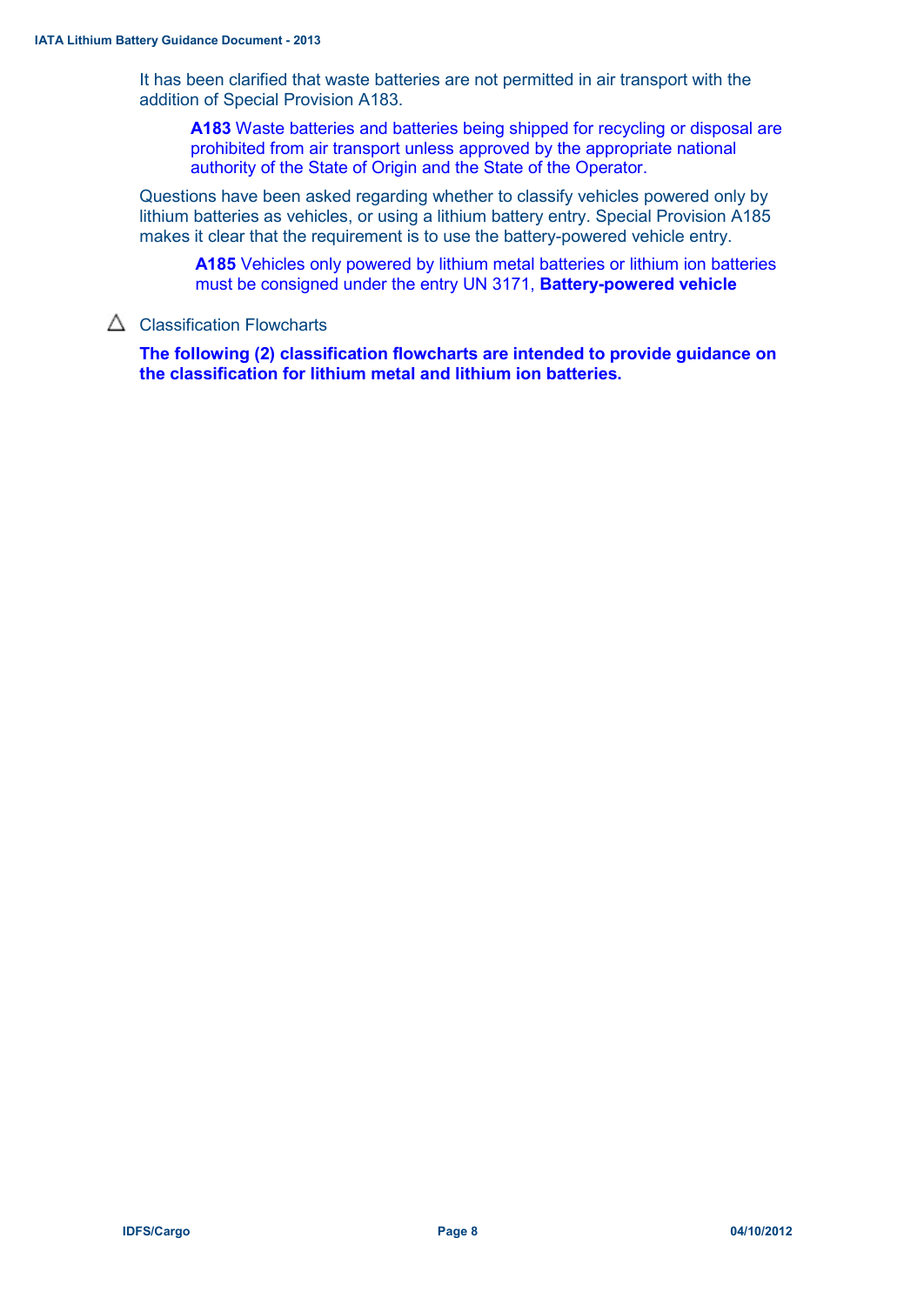It has been clarified that waste batteries are not permitted in air transport with the addition of Special Provision A183.

**A183** Waste batteries and batteries being shipped for recycling or disposal are prohibited from air transport unless approved by the appropriate national authority of the State of Origin and the State of the Operator.

Questions have been asked regarding whether to classify vehicles powered only by lithium batteries as vehicles, or using a lithium battery entry. Special Provision A185 makes it clear that the requirement is to use the battery-powered vehicle entry.

**A185** Vehicles only powered by lithium metal batteries or lithium ion batteries must be consigned under the entry UN 3171, **Battery-powered vehicle**

## $\triangle$  Classification Flowcharts

**The following (2) classification flowcharts are intended to provide guidance on the classification for lithium metal and lithium ion batteries.**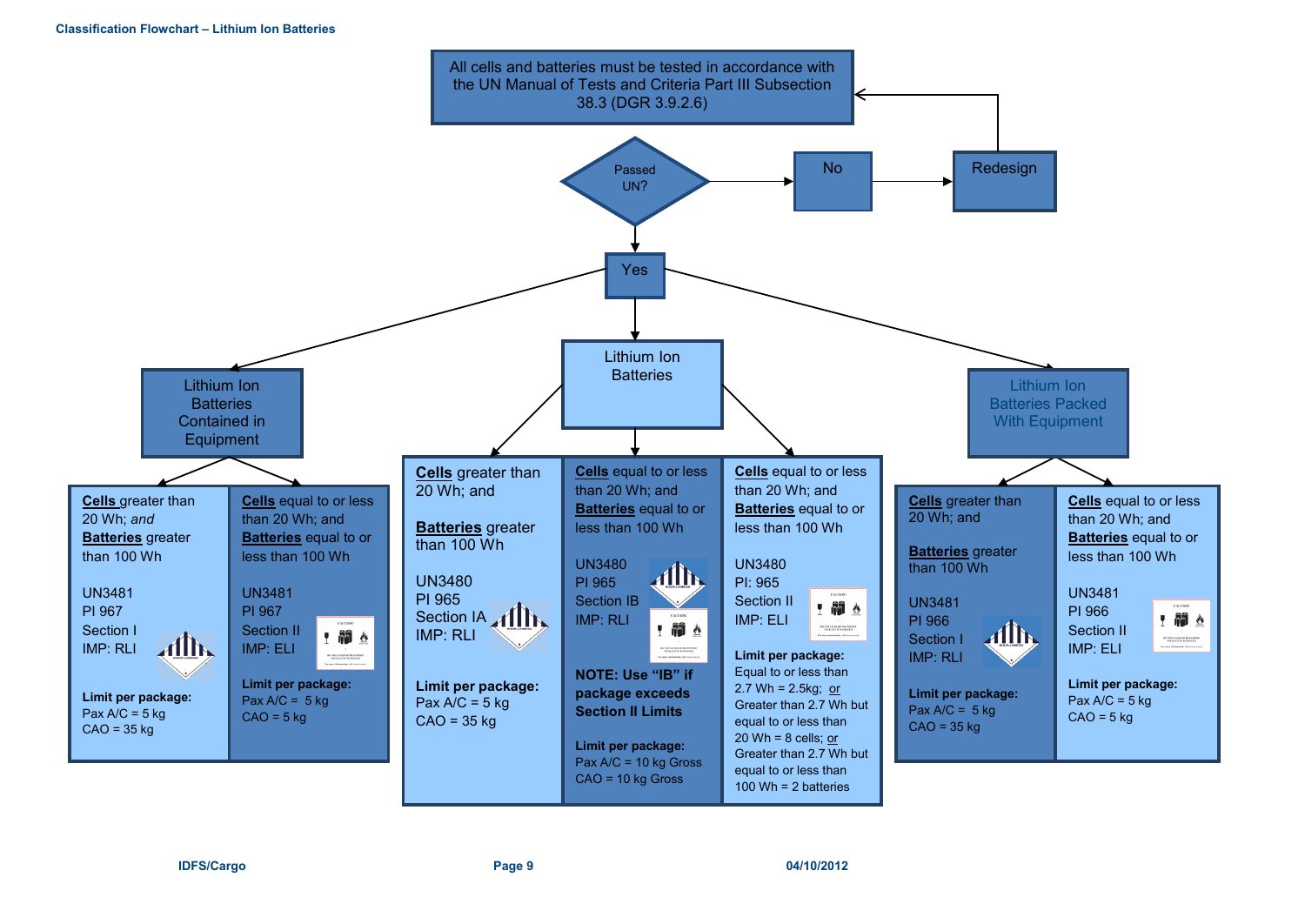

#### **IDFS/Cargo Page 9 04/10/2012**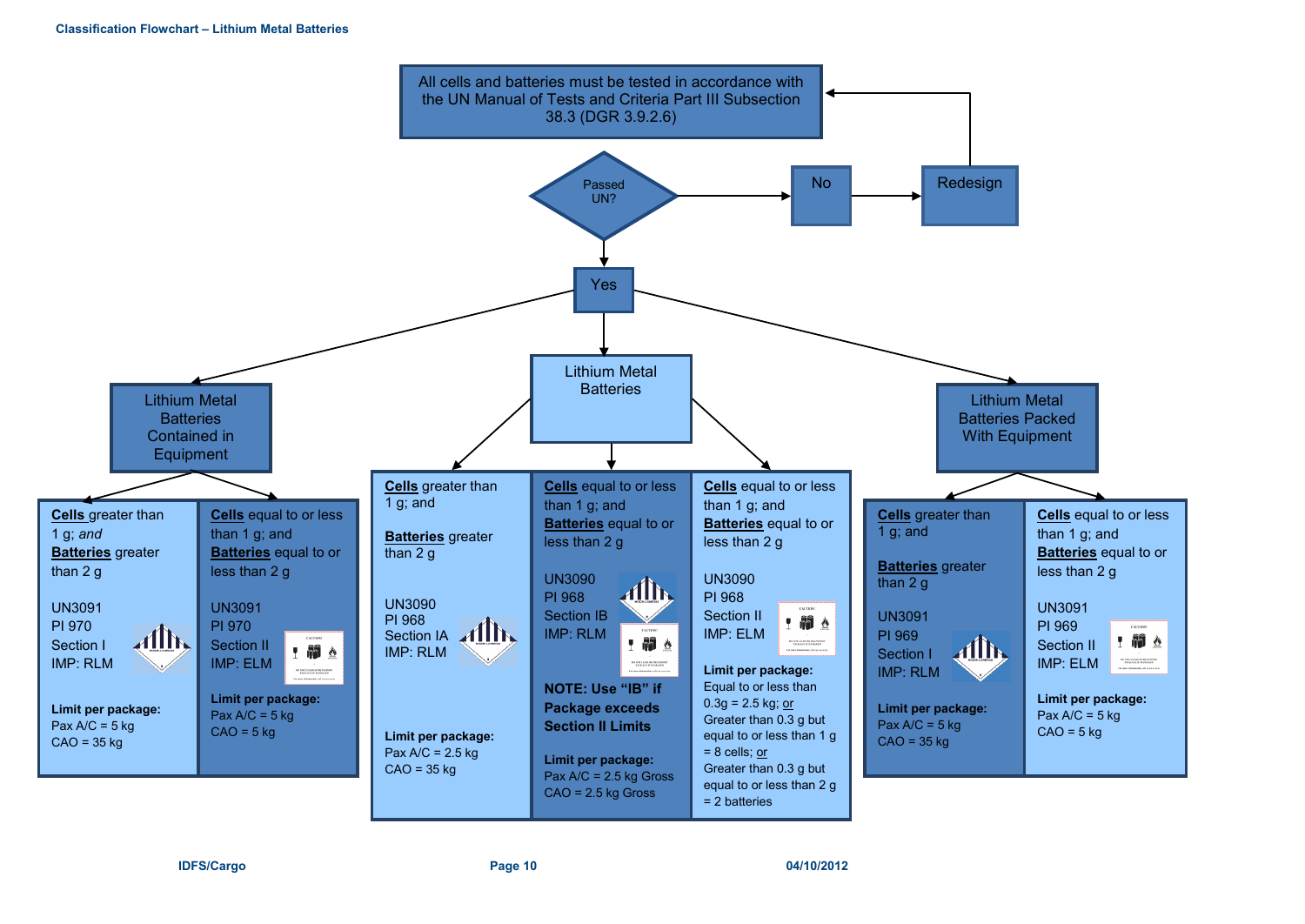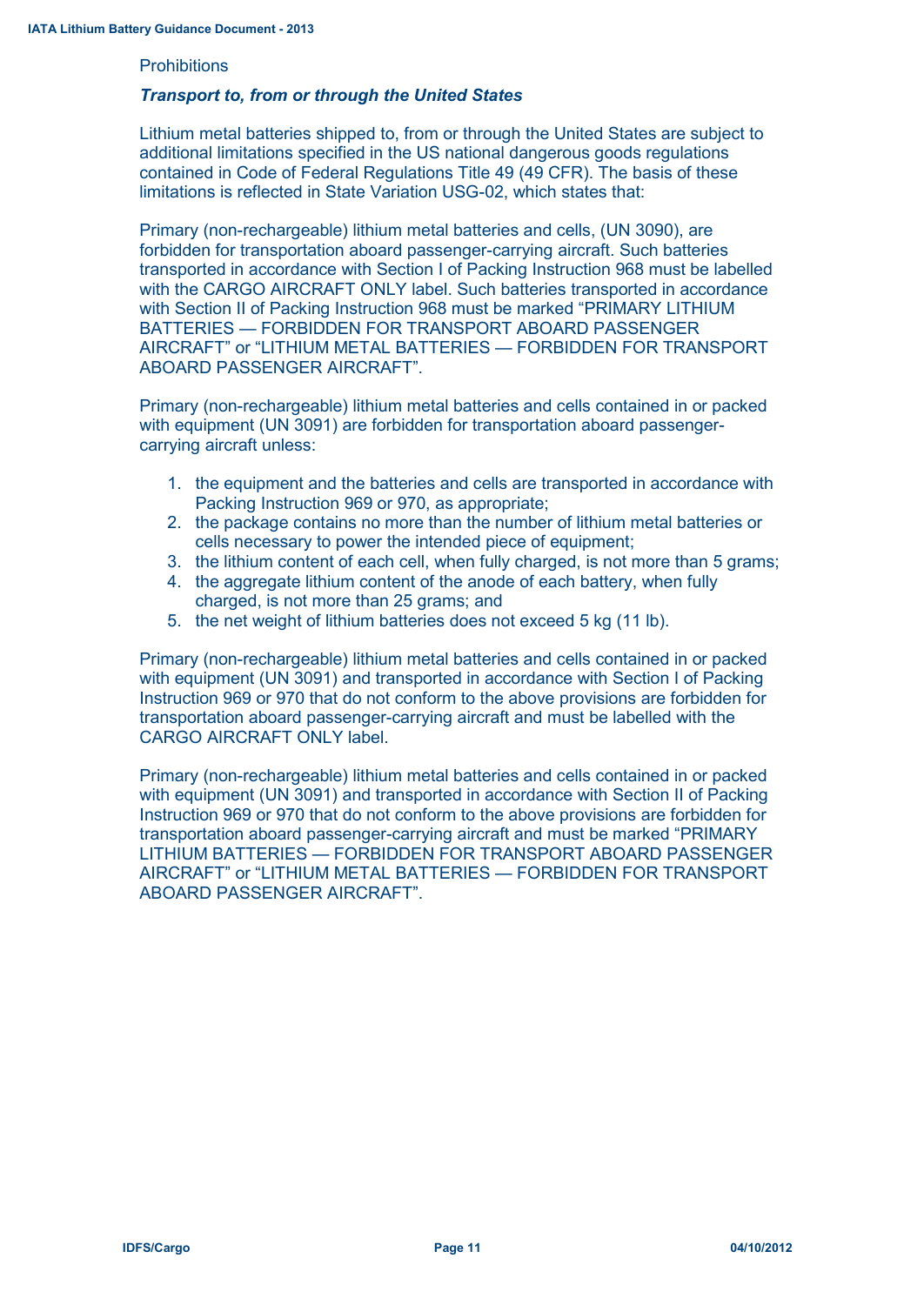#### **Prohibitions**

#### *Transport to, from or through the United States*

Lithium metal batteries shipped to, from or through the United States are subject to additional limitations specified in the US national dangerous goods regulations contained in Code of Federal Regulations Title 49 (49 CFR). The basis of these limitations is reflected in State Variation USG-02, which states that:

Primary (non-rechargeable) lithium metal batteries and cells, (UN 3090), are forbidden for transportation aboard passenger-carrying aircraft. Such batteries transported in accordance with Section I of Packing Instruction 968 must be labelled with the CARGO AIRCRAFT ONLY label. Such batteries transported in accordance with Section II of Packing Instruction 968 must be marked "PRIMARY LITHIUM BATTERIES — FORBIDDEN FOR TRANSPORT ABOARD PASSENGER AIRCRAFT" or "LITHIUM METAL BATTERIES — FORBIDDEN FOR TRANSPORT ABOARD PASSENGER AIRCRAFT".

Primary (non-rechargeable) lithium metal batteries and cells contained in or packed with equipment (UN 3091) are forbidden for transportation aboard passengercarrying aircraft unless:

- 1. the equipment and the batteries and cells are transported in accordance with Packing Instruction 969 or 970, as appropriate;
- 2. the package contains no more than the number of lithium metal batteries or cells necessary to power the intended piece of equipment;
- 3. the lithium content of each cell, when fully charged, is not more than 5 grams;
- 4. the aggregate lithium content of the anode of each battery, when fully charged, is not more than 25 grams; and
- 5. the net weight of lithium batteries does not exceed 5 kg (11 lb).

Primary (non-rechargeable) lithium metal batteries and cells contained in or packed with equipment (UN 3091) and transported in accordance with Section I of Packing Instruction 969 or 970 that do not conform to the above provisions are forbidden for transportation aboard passenger-carrying aircraft and must be labelled with the CARGO AIRCRAFT ONLY label.

Primary (non-rechargeable) lithium metal batteries and cells contained in or packed with equipment (UN 3091) and transported in accordance with Section II of Packing Instruction 969 or 970 that do not conform to the above provisions are forbidden for transportation aboard passenger-carrying aircraft and must be marked "PRIMARY LITHIUM BATTERIES — FORBIDDEN FOR TRANSPORT ABOARD PASSENGER AIRCRAFT" or "LITHIUM METAL BATTERIES — FORBIDDEN FOR TRANSPORT ABOARD PASSENGER AIRCRAFT".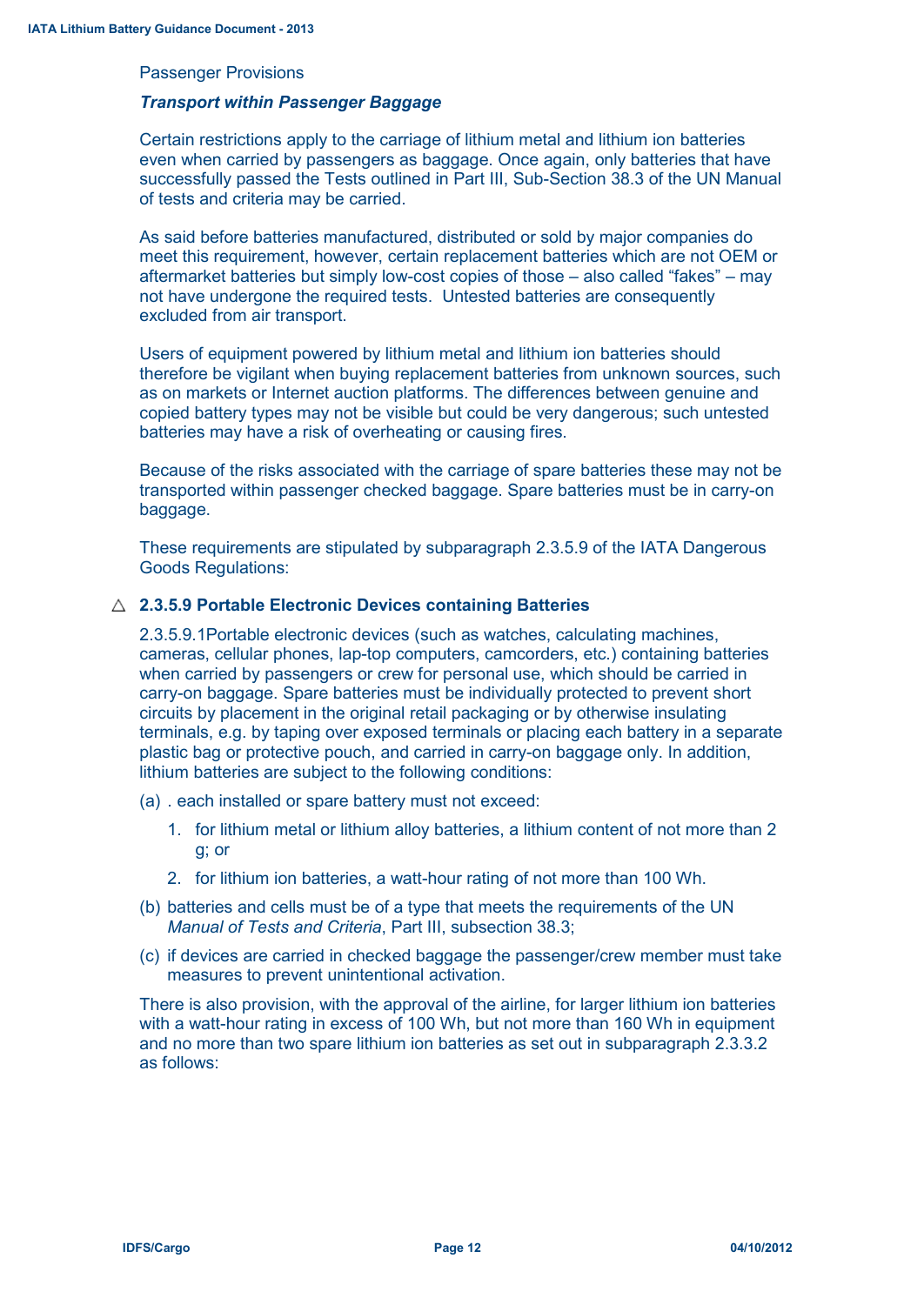#### Passenger Provisions

#### *Transport within Passenger Baggage*

Certain restrictions apply to the carriage of lithium metal and lithium ion batteries even when carried by passengers as baggage. Once again, only batteries that have successfully passed the Tests outlined in Part III, Sub-Section 38.3 of the UN Manual of tests and criteria may be carried.

As said before batteries manufactured, distributed or sold by major companies do meet this requirement, however, certain replacement batteries which are not OEM or aftermarket batteries but simply low-cost copies of those – also called "fakes" – may not have undergone the required tests. Untested batteries are consequently excluded from air transport.

Users of equipment powered by lithium metal and lithium ion batteries should therefore be vigilant when buying replacement batteries from unknown sources, such as on markets or Internet auction platforms. The differences between genuine and copied battery types may not be visible but could be very dangerous; such untested batteries may have a risk of overheating or causing fires.

Because of the risks associated with the carriage of spare batteries these may not be transported within passenger checked baggage. Spare batteries must be in carry-on baggage.

These requirements are stipulated by subparagraph 2.3.5.9 of the IATA Dangerous Goods Regulations:

#### **2.3.5.9 Portable Electronic Devices containing Batteries**

2.3.5.9.1Portable electronic devices (such as watches, calculating machines, cameras, cellular phones, lap-top computers, camcorders, etc.) containing batteries when carried by passengers or crew for personal use, which should be carried in carry-on baggage. Spare batteries must be individually protected to prevent short circuits by placement in the original retail packaging or by otherwise insulating terminals, e.g. by taping over exposed terminals or placing each battery in a separate plastic bag or protective pouch, and carried in carry-on baggage only. In addition, lithium batteries are subject to the following conditions:

- (a) . each installed or spare battery must not exceed:
	- 1. for lithium metal or lithium alloy batteries, a lithium content of not more than 2 g; or
	- 2. for lithium ion batteries, a watt-hour rating of not more than 100 Wh.
- (b) batteries and cells must be of a type that meets the requirements of the UN *Manual of Tests and Criteria*, Part III, subsection 38.3;
- (c) if devices are carried in checked baggage the passenger/crew member must take measures to prevent unintentional activation.

There is also provision, with the approval of the airline, for larger lithium ion batteries with a watt-hour rating in excess of 100 Wh, but not more than 160 Wh in equipment and no more than two spare lithium ion batteries as set out in subparagraph 2.3.3.2 as follows: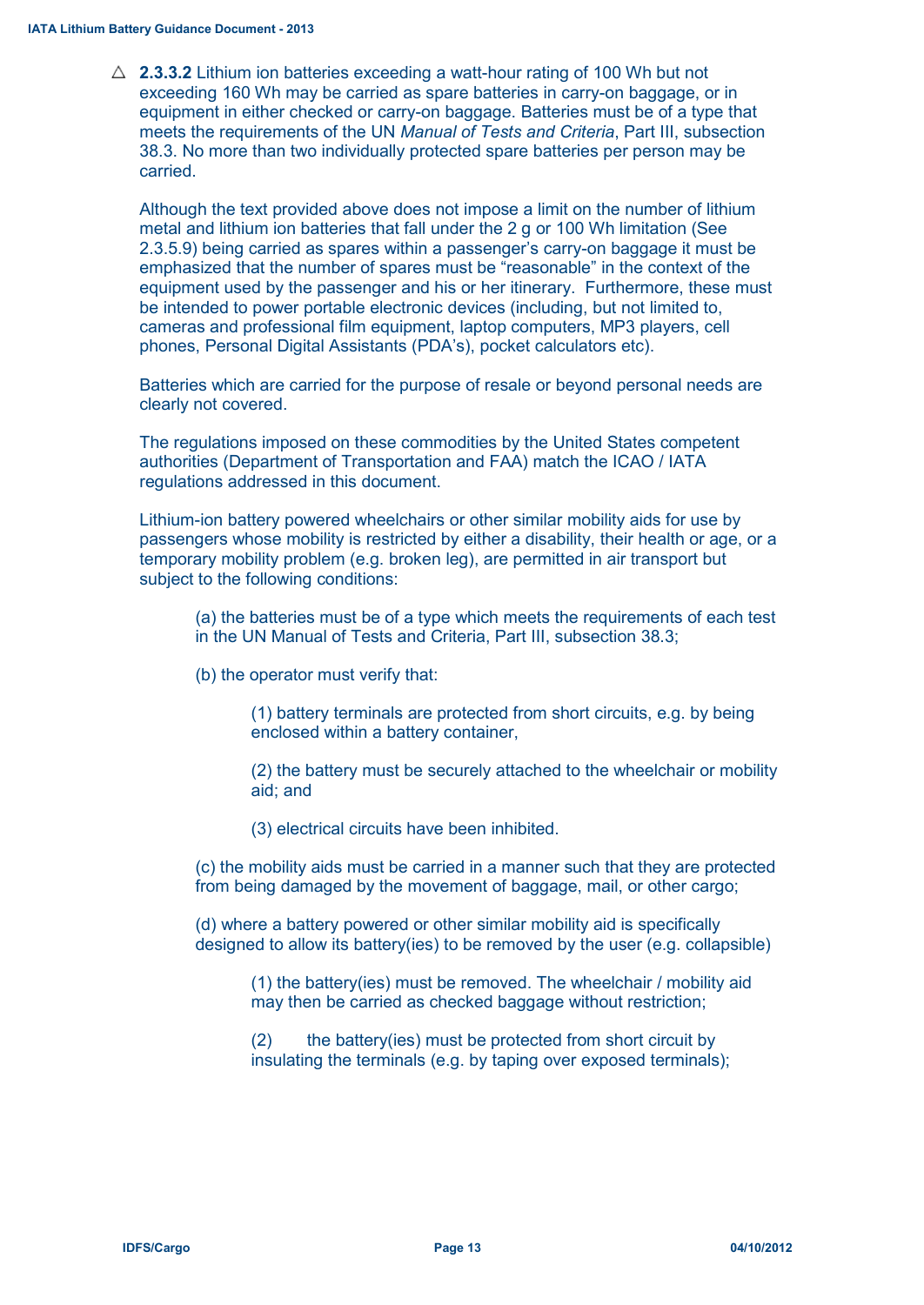$\triangle$  **2.3.3.2** Lithium ion batteries exceeding a watt-hour rating of 100 Wh but not exceeding 160 Wh may be carried as spare batteries in carry-on baggage, or in equipment in either checked or carry-on baggage. Batteries must be of a type that meets the requirements of the UN *Manual of Tests and Criteria*, Part III, subsection 38.3. No more than two individually protected spare batteries per person may be carried.

Although the text provided above does not impose a limit on the number of lithium metal and lithium ion batteries that fall under the 2 g or 100 Wh limitation (See 2.3.5.9) being carried as spares within a passenger's carry-on baggage it must be emphasized that the number of spares must be "reasonable" in the context of the equipment used by the passenger and his or her itinerary. Furthermore, these must be intended to power portable electronic devices (including, but not limited to, cameras and professional film equipment, laptop computers, MP3 players, cell phones, Personal Digital Assistants (PDA's), pocket calculators etc).

Batteries which are carried for the purpose of resale or beyond personal needs are clearly not covered.

The regulations imposed on these commodities by the United States competent authorities (Department of Transportation and FAA) match the ICAO / IATA regulations addressed in this document.

Lithium-ion battery powered wheelchairs or other similar mobility aids for use by passengers whose mobility is restricted by either a disability, their health or age, or a temporary mobility problem (e.g. broken leg), are permitted in air transport but subject to the following conditions:

(a) the batteries must be of a type which meets the requirements of each test in the UN Manual of Tests and Criteria, Part III, subsection 38.3;

(b) the operator must verify that:

(1) battery terminals are protected from short circuits, e.g. by being enclosed within a battery container,

(2) the battery must be securely attached to the wheelchair or mobility aid; and

(3) electrical circuits have been inhibited.

(c) the mobility aids must be carried in a manner such that they are protected from being damaged by the movement of baggage, mail, or other cargo;

(d) where a battery powered or other similar mobility aid is specifically designed to allow its battery(ies) to be removed by the user (e.g. collapsible)

(1) the battery(ies) must be removed. The wheelchair / mobility aid may then be carried as checked baggage without restriction;

(2) the battery(ies) must be protected from short circuit by insulating the terminals (e.g. by taping over exposed terminals);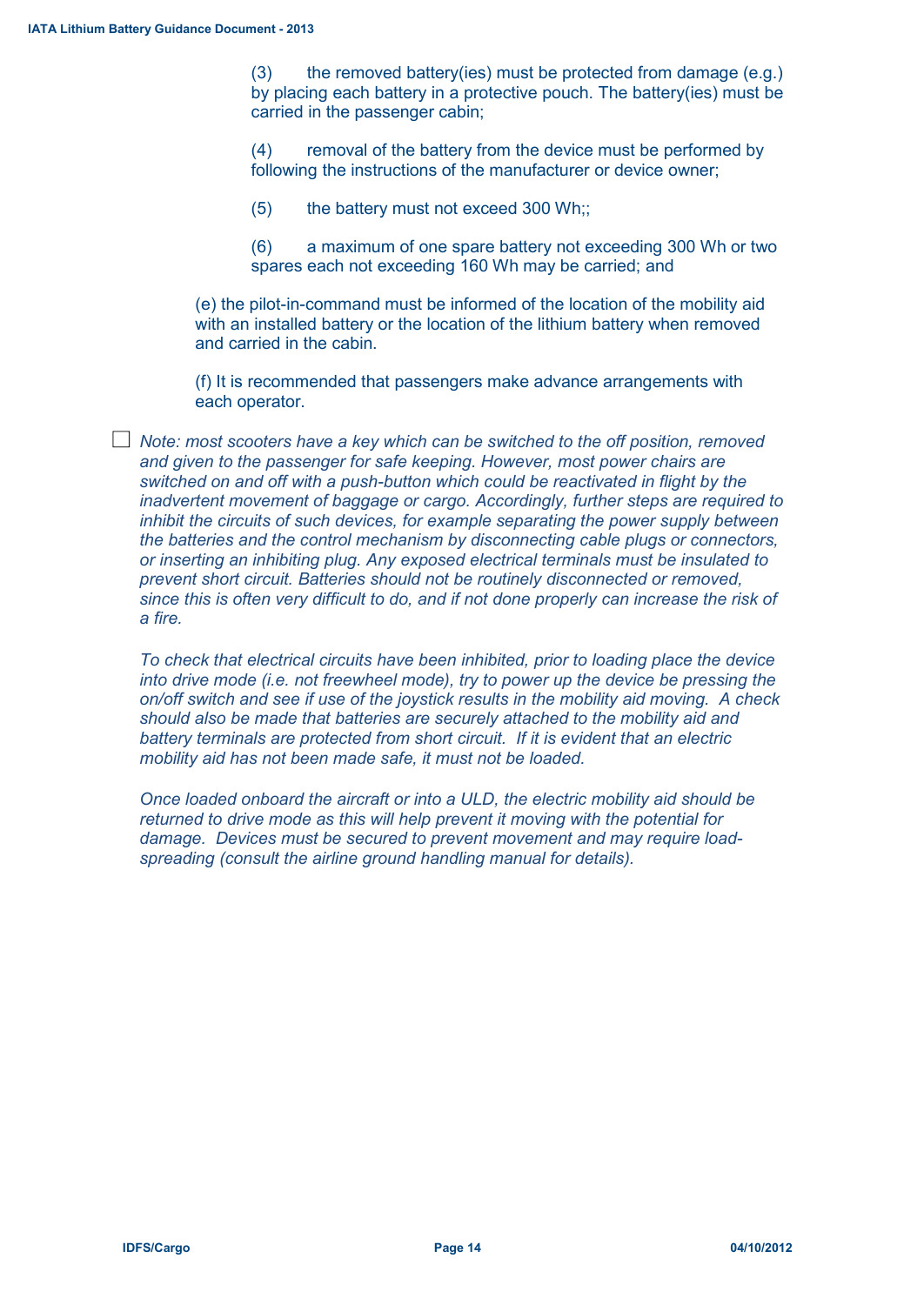$(3)$  the removed battery(ies) must be protected from damage (e.g.) by placing each battery in a protective pouch. The battery(ies) must be carried in the passenger cabin;

(4) removal of the battery from the device must be performed by following the instructions of the manufacturer or device owner;

(5) the battery must not exceed 300 Wh;;

(6) a maximum of one spare battery not exceeding 300 Wh or two spares each not exceeding 160 Wh may be carried; and

(e) the pilot-in-command must be informed of the location of the mobility aid with an installed battery or the location of the lithium battery when removed and carried in the cabin.

(f) It is recommended that passengers make advance arrangements with each operator.

*Note: most scooters have a key which can be switched to the off position, removed and given to the passenger for safe keeping. However, most power chairs are switched on and off with a push-button which could be reactivated in flight by the inadvertent movement of baggage or cargo. Accordingly, further steps are required to inhibit the circuits of such devices, for example separating the power supply between the batteries and the control mechanism by disconnecting cable plugs or connectors, or inserting an inhibiting plug. Any exposed electrical terminals must be insulated to prevent short circuit. Batteries should not be routinely disconnected or removed, since this is often very difficult to do, and if not done properly can increase the risk of a fire.*

*To check that electrical circuits have been inhibited, prior to loading place the device into drive mode (i.e. not freewheel mode), try to power up the device be pressing the on/off switch and see if use of the joystick results in the mobility aid moving. A check should also be made that batteries are securely attached to the mobility aid and battery terminals are protected from short circuit. If it is evident that an electric mobility aid has not been made safe, it must not be loaded.*

*Once loaded onboard the aircraft or into a ULD, the electric mobility aid should be returned to drive mode as this will help prevent it moving with the potential for damage. Devices must be secured to prevent movement and may require loadspreading (consult the airline ground handling manual for details).*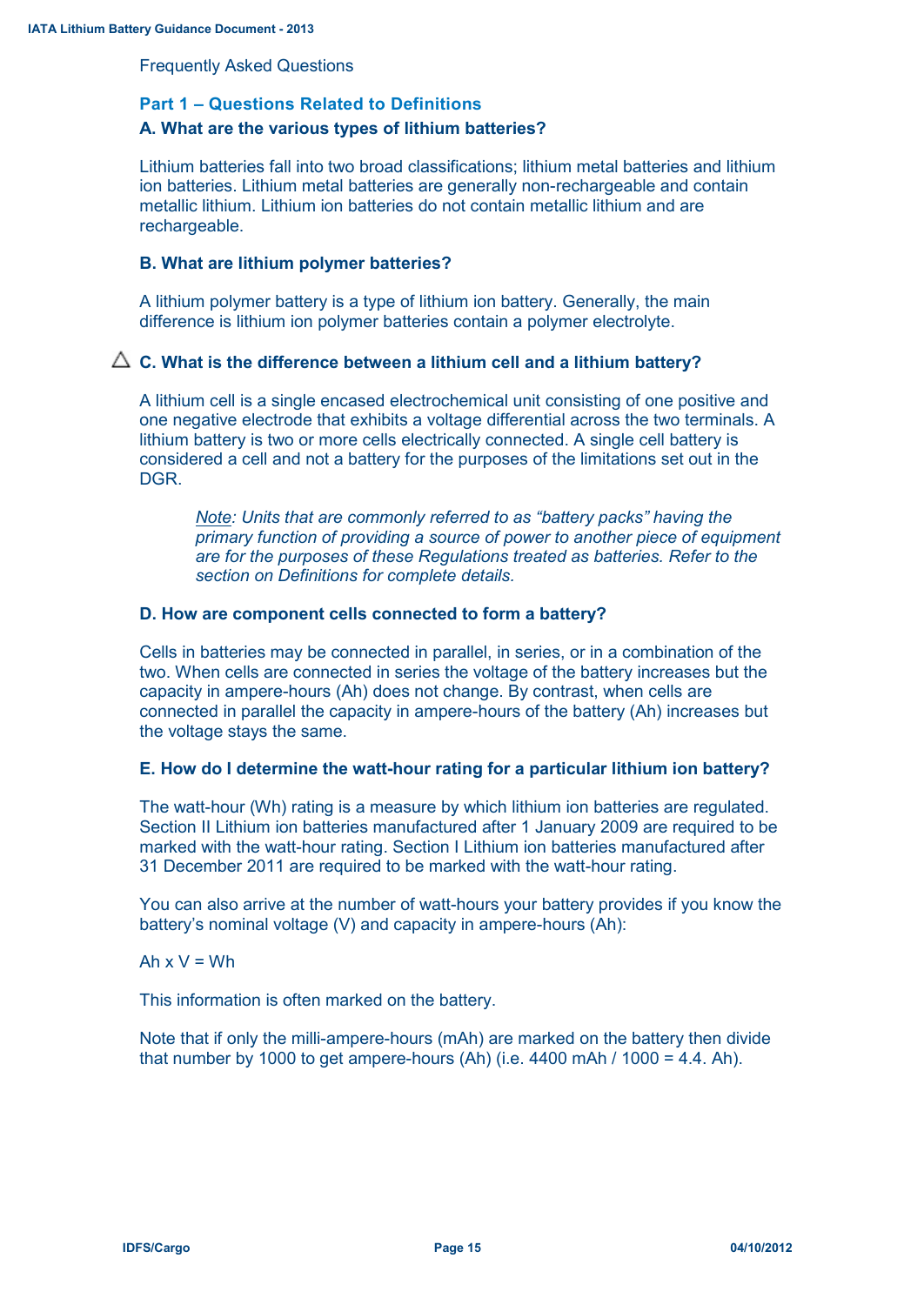Frequently Asked Questions

#### **Part 1 – Questions Related to Definitions**

## **A. What are the various types of lithium batteries?**

Lithium batteries fall into two broad classifications; lithium metal batteries and lithium ion batteries. Lithium metal batteries are generally non-rechargeable and contain metallic lithium. Lithium ion batteries do not contain metallic lithium and are rechargeable.

## **B. What are lithium polymer batteries?**

A lithium polymer battery is a type of lithium ion battery. Generally, the main difference is lithium ion polymer batteries contain a polymer electrolyte.

#### $\triangle$  C. What is the difference between a lithium cell and a lithium battery?

A lithium cell is a single encased electrochemical unit consisting of one positive and one negative electrode that exhibits a voltage differential across the two terminals. A lithium battery is two or more cells electrically connected. A single cell battery is considered a cell and not a battery for the purposes of the limitations set out in the DGR.

*Note: Units that are commonly referred to as "battery packs" having the primary function of providing a source of power to another piece of equipment are for the purposes of these Regulations treated as batteries. Refer to the section on Definitions for complete details.*

#### **D. How are component cells connected to form a battery?**

Cells in batteries may be connected in parallel, in series, or in a combination of the two. When cells are connected in series the voltage of the battery increases but the capacity in ampere-hours (Ah) does not change. By contrast, when cells are connected in parallel the capacity in ampere-hours of the battery (Ah) increases but the voltage stays the same.

#### **E. How do I determine the watt-hour rating for a particular lithium ion battery?**

The watt-hour (Wh) rating is a measure by which lithium ion batteries are regulated. Section II Lithium ion batteries manufactured after 1 January 2009 are required to be marked with the watt-hour rating. Section I Lithium ion batteries manufactured after 31 December 2011 are required to be marked with the watt-hour rating.

You can also arrive at the number of watt-hours your battery provides if you know the battery's nominal voltage (V) and capacity in ampere-hours (Ah):

#### Ah  $x V = Wh$

This information is often marked on the battery.

Note that if only the milli-ampere-hours (mAh) are marked on the battery then divide that number by 1000 to get ampere-hours (Ah) (i.e. 4400 mAh / 1000 = 4.4. Ah).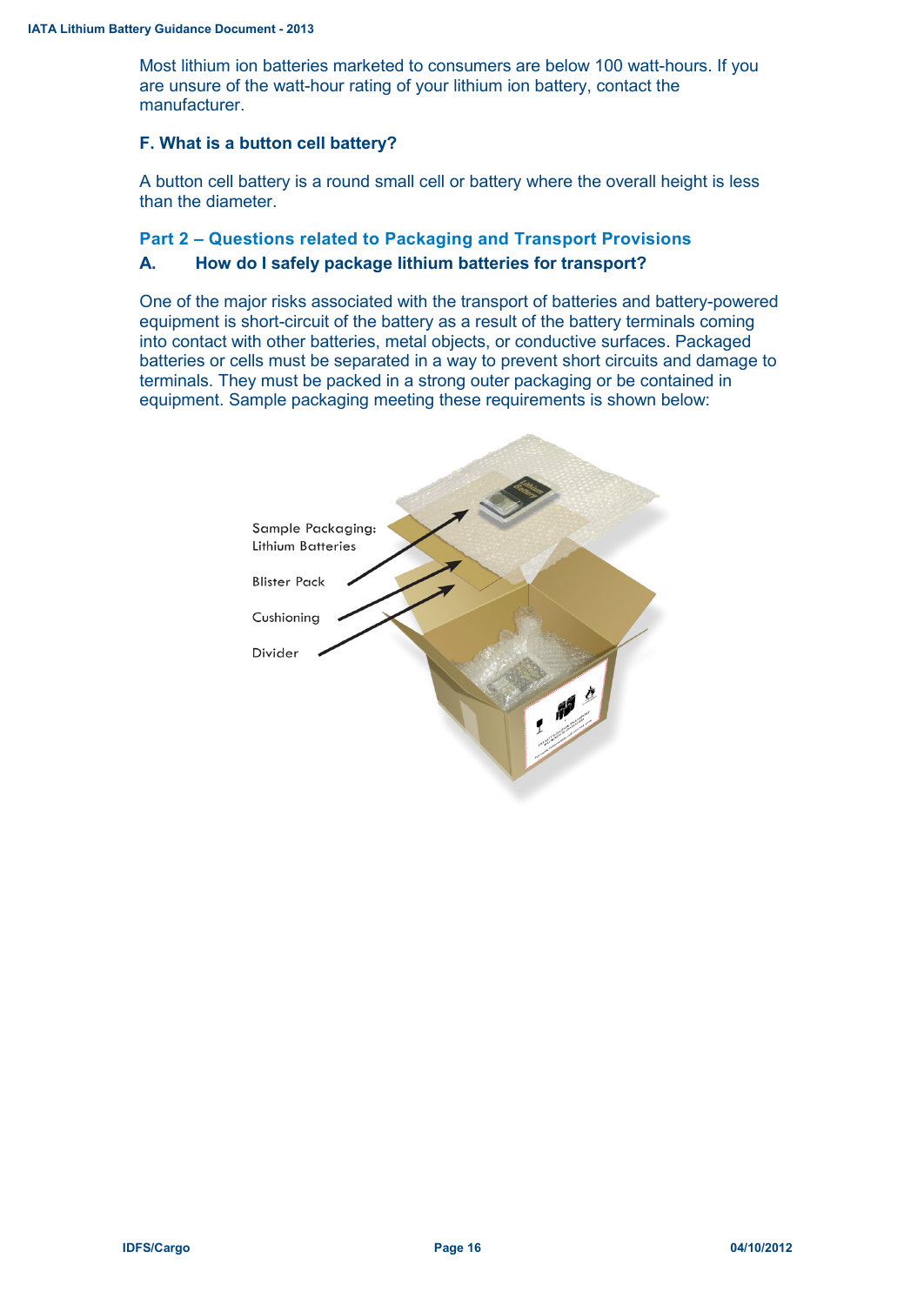Most lithium ion batteries marketed to consumers are below 100 watt-hours. If you are unsure of the watt-hour rating of your lithium ion battery, contact the manufacturer.

#### **F. What is a button cell battery?**

A button cell battery is a round small cell or battery where the overall height is less than the diameter.

## **Part 2 – Questions related to Packaging and Transport Provisions**

#### **A. How do I safely package lithium batteries for transport?**

One of the major risks associated with the transport of batteries and battery-powered equipment is short-circuit of the battery as a result of the battery terminals coming into contact with other batteries, metal objects, or conductive surfaces. Packaged batteries or cells must be separated in a way to prevent short circuits and damage to terminals. They must be packed in a strong outer packaging or be contained in equipment. Sample packaging meeting these requirements is shown below:

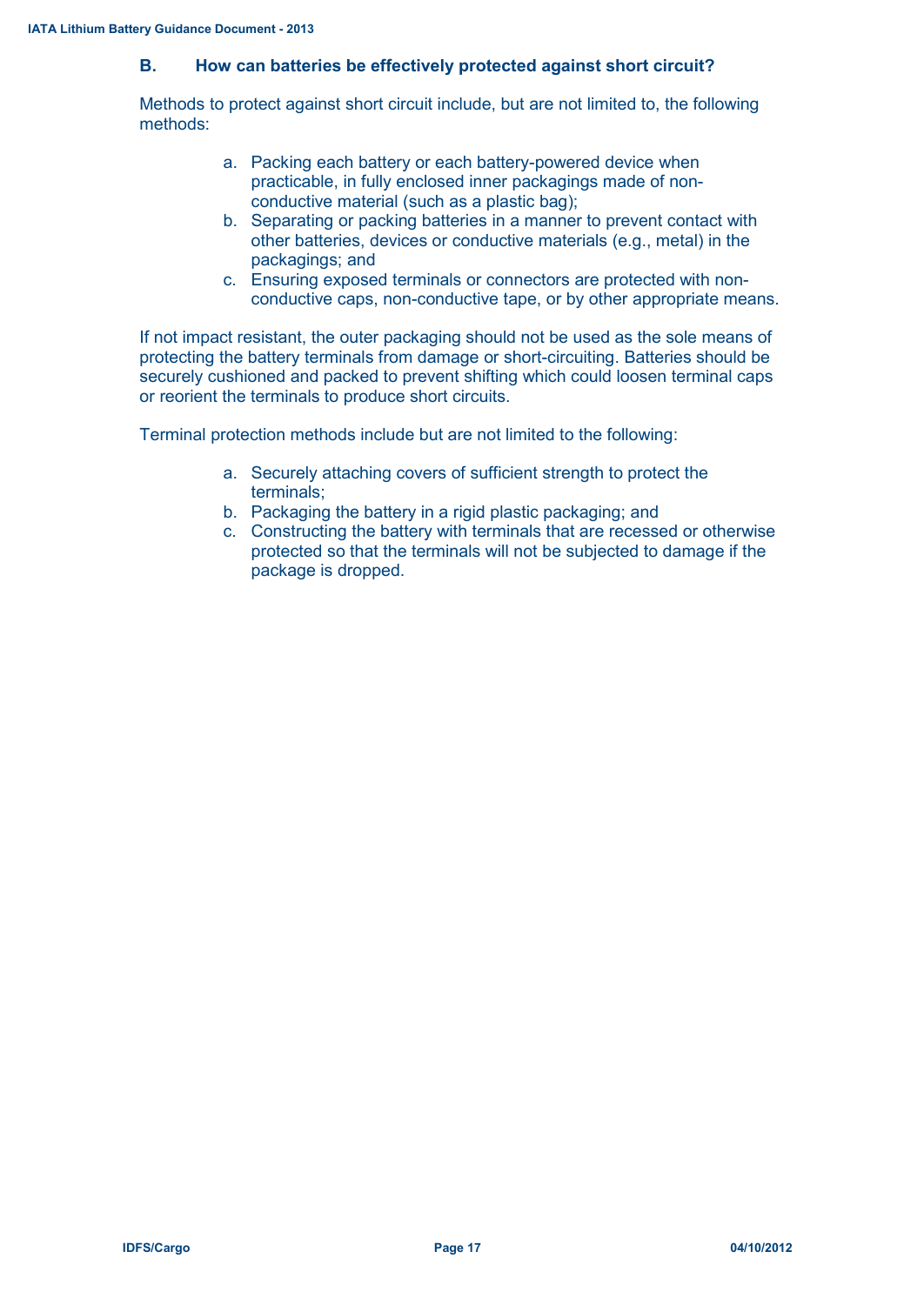## **B. How can batteries be effectively protected against short circuit?**

Methods to protect against short circuit include, but are not limited to, the following methods:

- a. Packing each battery or each battery-powered device when practicable, in fully enclosed inner packagings made of nonconductive material (such as a plastic bag);
- b. Separating or packing batteries in a manner to prevent contact with other batteries, devices or conductive materials (e.g., metal) in the packagings; and
- c. Ensuring exposed terminals or connectors are protected with nonconductive caps, non-conductive tape, or by other appropriate means.

If not impact resistant, the outer packaging should not be used as the sole means of protecting the battery terminals from damage or short-circuiting. Batteries should be securely cushioned and packed to prevent shifting which could loosen terminal caps or reorient the terminals to produce short circuits.

Terminal protection methods include but are not limited to the following:

- a. Securely attaching covers of sufficient strength to protect the terminals;
- b. Packaging the battery in a rigid plastic packaging; and
- c. Constructing the battery with terminals that are recessed or otherwise protected so that the terminals will not be subjected to damage if the package is dropped.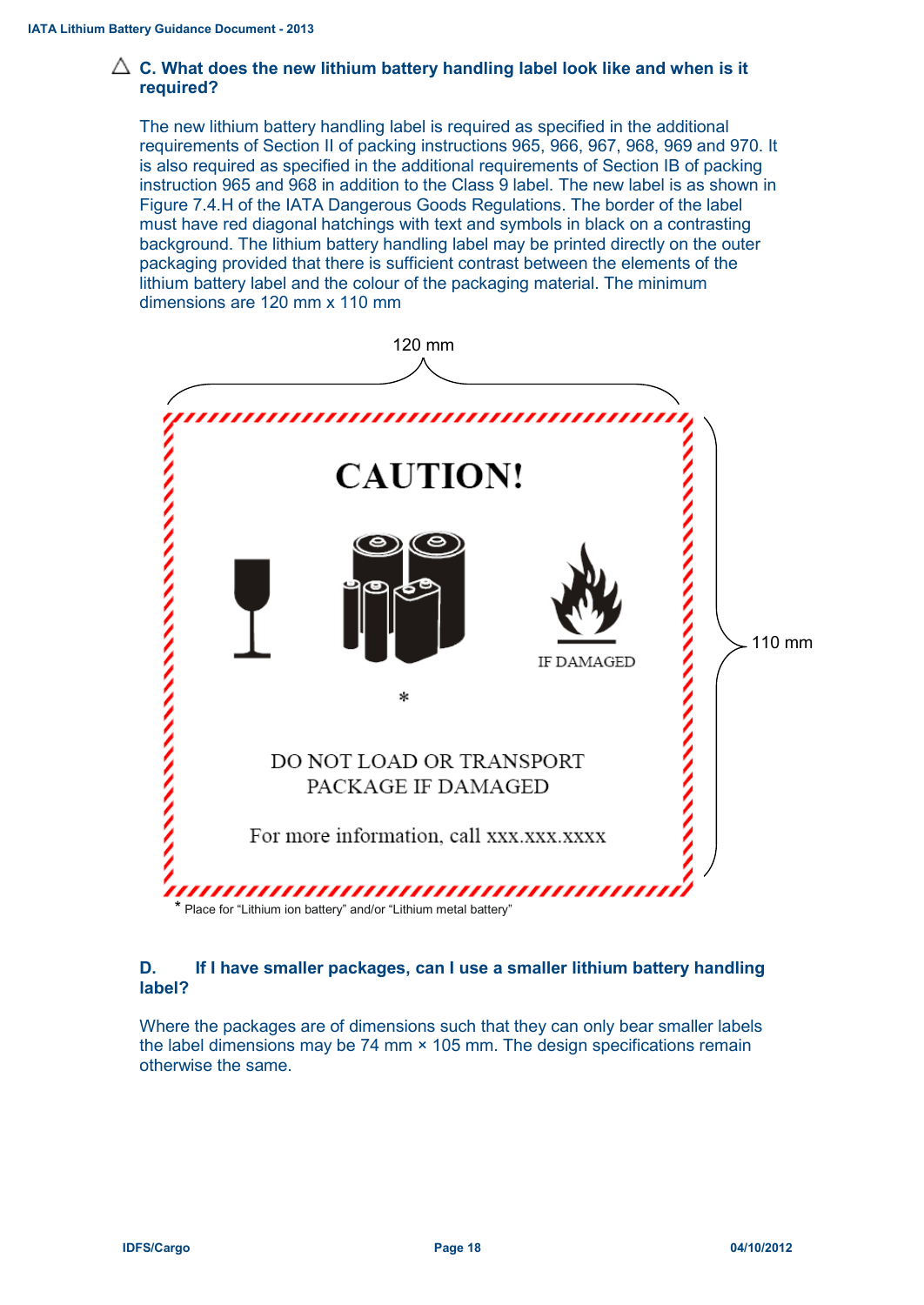## $\triangle$  C. What does the new lithium battery handling label look like and when is it **required?**

The new lithium battery handling label is required as specified in the additional requirements of Section II of packing instructions 965, 966, 967, 968, 969 and 970. It is also required as specified in the additional requirements of Section IB of packing instruction 965 and 968 in addition to the Class 9 label. The new label is as shown in Figure 7.4.H of the IATA Dangerous Goods Regulations. The border of the label must have red diagonal hatchings with text and symbols in black on a contrasting background. The lithium battery handling label may be printed directly on the outer packaging provided that there is sufficient contrast between the elements of the lithium battery label and the colour of the packaging material. The minimum dimensions are 120 mm x 110 mm



## **D. If I have smaller packages, can I use a smaller lithium battery handling label?**

Where the packages are of dimensions such that they can only bear smaller labels the label dimensions may be 74 mm × 105 mm. The design specifications remain otherwise the same.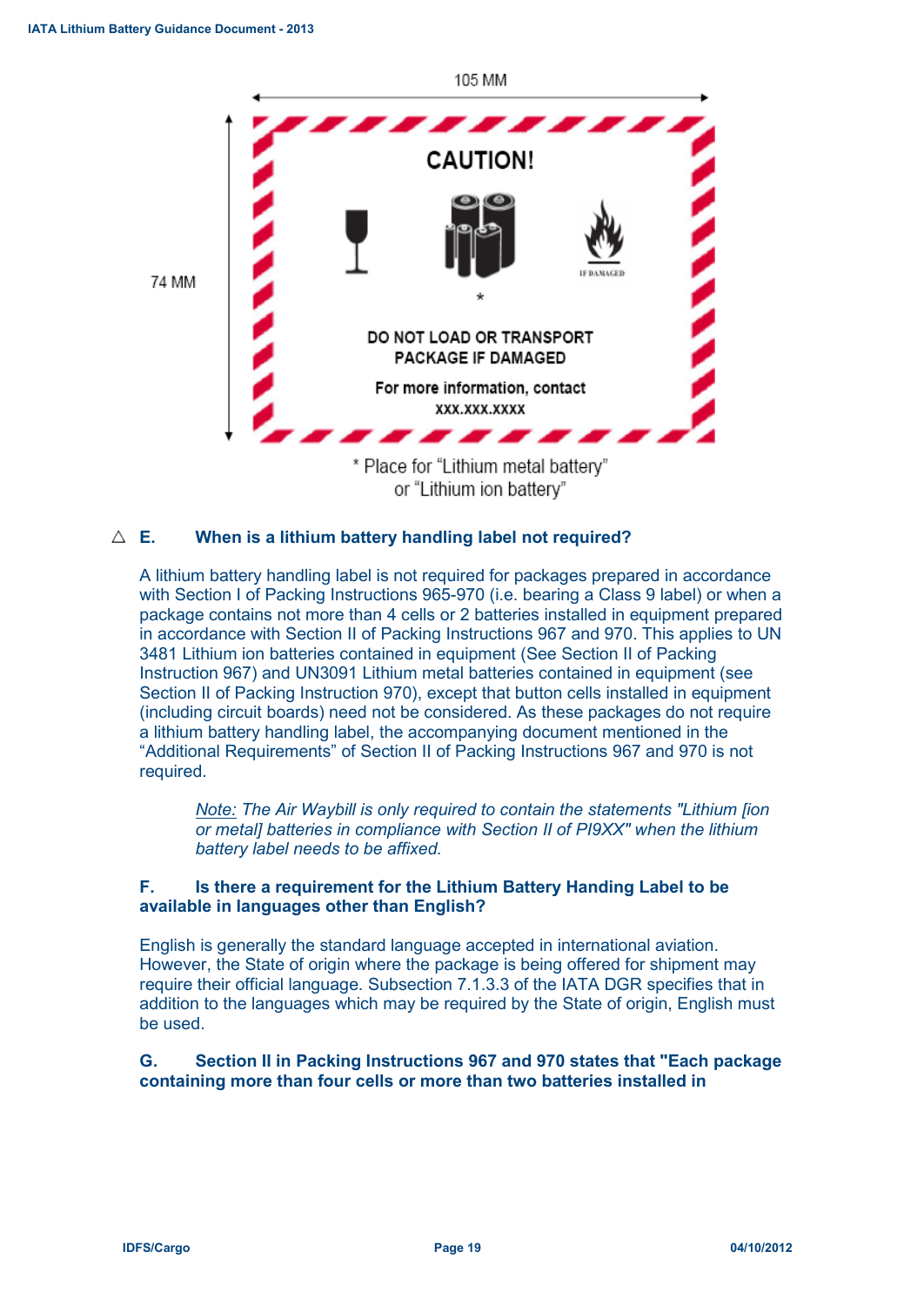

#### **E. When is a lithium battery handling label not required?**

A lithium battery handling label is not required for packages prepared in accordance with Section I of Packing Instructions 965-970 (i.e. bearing a Class 9 label) or when a package contains not more than 4 cells or 2 batteries installed in equipment prepared in accordance with Section II of Packing Instructions 967 and 970. This applies to UN 3481 Lithium ion batteries contained in equipment (See Section II of Packing Instruction 967) and UN3091 Lithium metal batteries contained in equipment (see Section II of Packing Instruction 970), except that button cells installed in equipment (including circuit boards) need not be considered. As these packages do not require a lithium battery handling label, the accompanying document mentioned in the "Additional Requirements" of Section II of Packing Instructions 967 and 970 is not required.

*Note: The Air Waybill is only required to contain the statements "Lithium [ion or metal] batteries in compliance with Section II of PI9XX" when the lithium battery label needs to be affixed.*

### **F. Is there a requirement for the Lithium Battery Handing Label to be available in languages other than English?**

English is generally the standard language accepted in international aviation. However, the State of origin where the package is being offered for shipment may require their official language. Subsection 7.1.3.3 of the IATA DGR specifies that in addition to the languages which may be required by the State of origin, English must be used.

#### **G. Section II in Packing Instructions 967 and 970 states that "Each package containing more than four cells or more than two batteries installed in**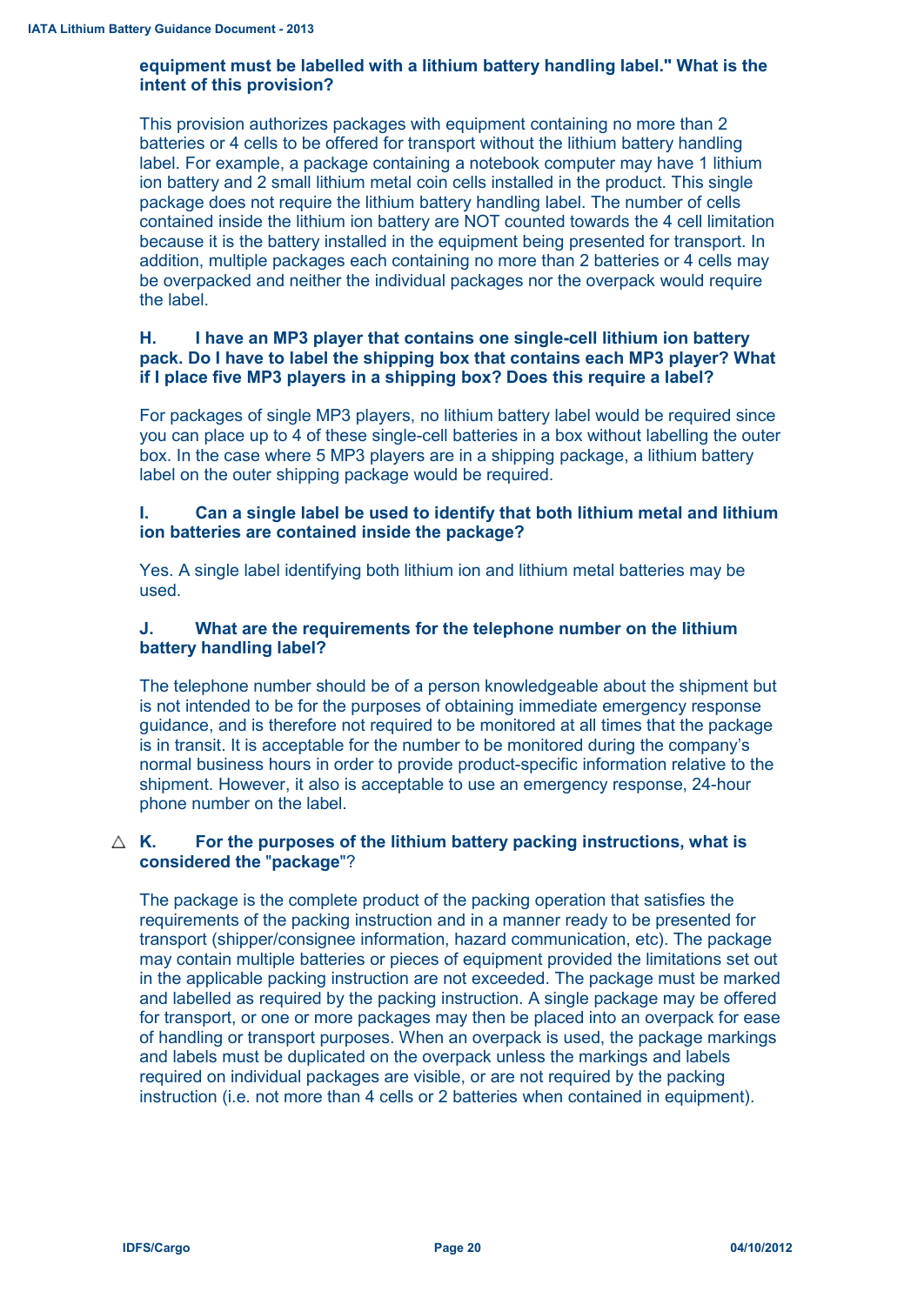## **equipment must be labelled with a lithium battery handling label." What is the intent of this provision?**

This provision authorizes packages with equipment containing no more than 2 batteries or 4 cells to be offered for transport without the lithium battery handling label. For example, a package containing a notebook computer may have 1 lithium ion battery and 2 small lithium metal coin cells installed in the product. This single package does not require the lithium battery handling label. The number of cells contained inside the lithium ion battery are NOT counted towards the 4 cell limitation because it is the battery installed in the equipment being presented for transport. In addition, multiple packages each containing no more than 2 batteries or 4 cells may be overpacked and neither the individual packages nor the overpack would require the label.

## **H. I have an MP3 player that contains one single-cell lithium ion battery pack. Do I have to label the shipping box that contains each MP3 player? What if I place five MP3 players in a shipping box? Does this require a label?**

For packages of single MP3 players, no lithium battery label would be required since you can place up to 4 of these single-cell batteries in a box without labelling the outer box. In the case where 5 MP3 players are in a shipping package, a lithium battery label on the outer shipping package would be required.

## **I. Can a single label be used to identify that both lithium metal and lithium ion batteries are contained inside the package?**

Yes. A single label identifying both lithium ion and lithium metal batteries may be used.

## **J. What are the requirements for the telephone number on the lithium battery handling label?**

The telephone number should be of a person knowledgeable about the shipment but is not intended to be for the purposes of obtaining immediate emergency response guidance, and is therefore not required to be monitored at all times that the package is in transit. It is acceptable for the number to be monitored during the company's normal business hours in order to provide product-specific information relative to the shipment. However, it also is acceptable to use an emergency response, 24-hour phone number on the label.

## **K. For the purposes of the lithium battery packing instructions, what is considered the** "**package**"?

The package is the complete product of the packing operation that satisfies the requirements of the packing instruction and in a manner ready to be presented for transport (shipper/consignee information, hazard communication, etc). The package may contain multiple batteries or pieces of equipment provided the limitations set out in the applicable packing instruction are not exceeded. The package must be marked and labelled as required by the packing instruction. A single package may be offered for transport, or one or more packages may then be placed into an overpack for ease of handling or transport purposes. When an overpack is used, the package markings and labels must be duplicated on the overpack unless the markings and labels required on individual packages are visible, or are not required by the packing instruction (i.e. not more than 4 cells or 2 batteries when contained in equipment).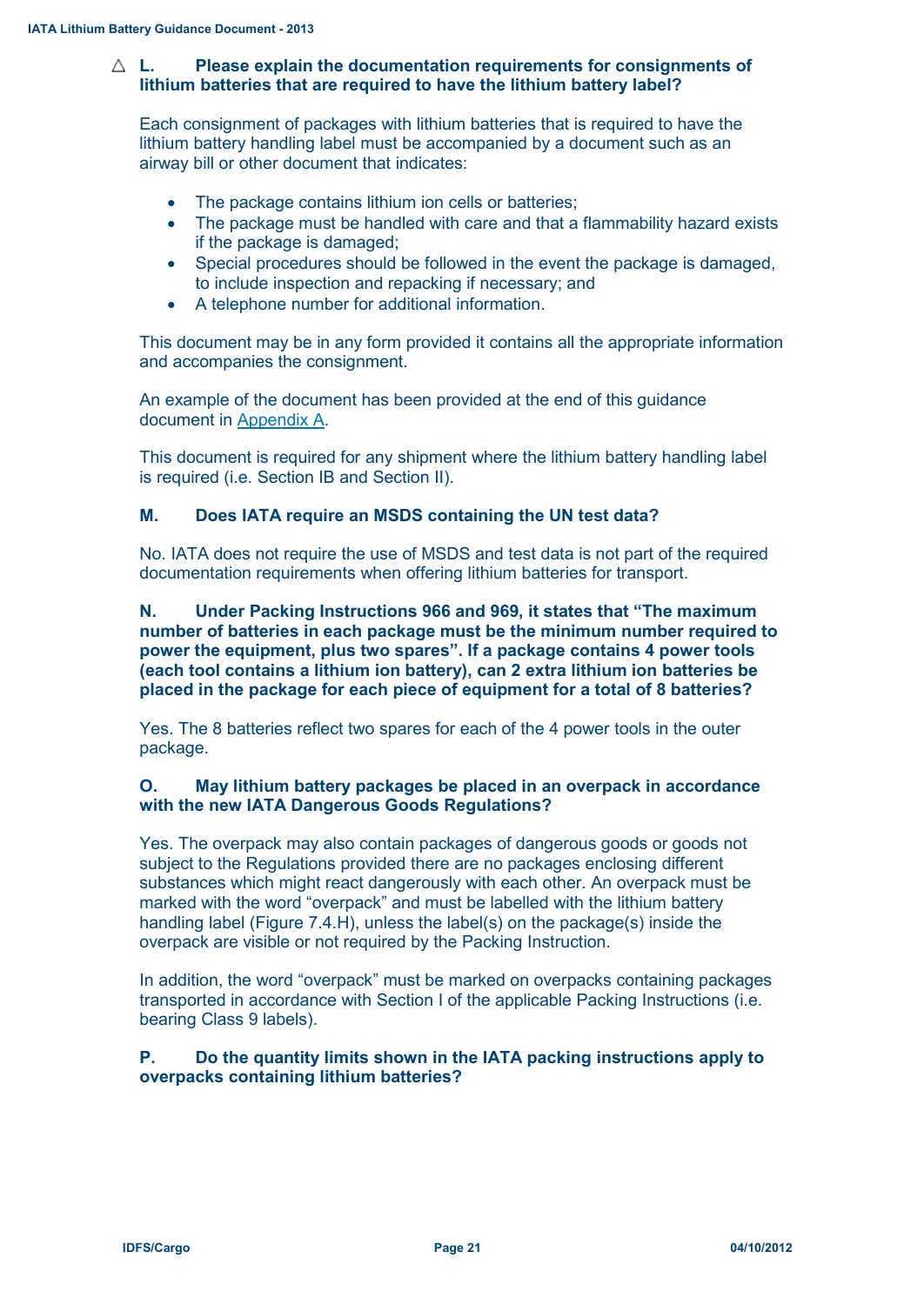## **L. Please explain the documentation requirements for consignments of lithium batteries that are required to have the lithium battery label?**

Each consignment of packages with lithium batteries that is required to have the lithium battery handling label must be accompanied by a document such as an airway bill or other document that indicates:

- The package contains lithium ion cells or batteries;
- The package must be handled with care and that a flammability hazard exists if the package is damaged;
- Special procedures should be followed in the event the package is damaged, to include inspection and repacking if necessary; and
- A telephone number for additional information.

This document may be in any form provided it contains all the appropriate information and accompanies the consignment.

An example of the document has been provided at the end of this guidance document in Appendix A.

This document is required for any shipment where the lithium battery handling label is required (i.e. Section IB and Section II).

## **M. Does IATA require an MSDS containing the UN test data?**

No. IATA does not require the use of MSDS and test data is not part of the required documentation requirements when offering lithium batteries for transport.

**N. Under Packing Instructions 966 and 969, it states that "The maximum number of batteries in each package must be the minimum number required to power the equipment, plus two spares". If a package contains 4 power tools (each tool contains a lithium ion battery), can 2 extra lithium ion batteries be placed in the package for each piece of equipment for a total of 8 batteries?**

Yes. The 8 batteries reflect two spares for each of the 4 power tools in the outer package.

#### **O. May lithium battery packages be placed in an overpack in accordance with the new IATA Dangerous Goods Regulations?**

Yes. The overpack may also contain packages of dangerous goods or goods not subject to the Regulations provided there are no packages enclosing different substances which might react dangerously with each other. An overpack must be marked with the word "overpack" and must be labelled with the lithium battery handling label (Figure 7.4.H), unless the label(s) on the package(s) inside the overpack are visible or not required by the Packing Instruction.

In addition, the word "overpack" must be marked on overpacks containing packages transported in accordance with Section I of the applicable Packing Instructions (i.e. bearing Class 9 labels).

#### **P. Do the quantity limits shown in the IATA packing instructions apply to overpacks containing lithium batteries?**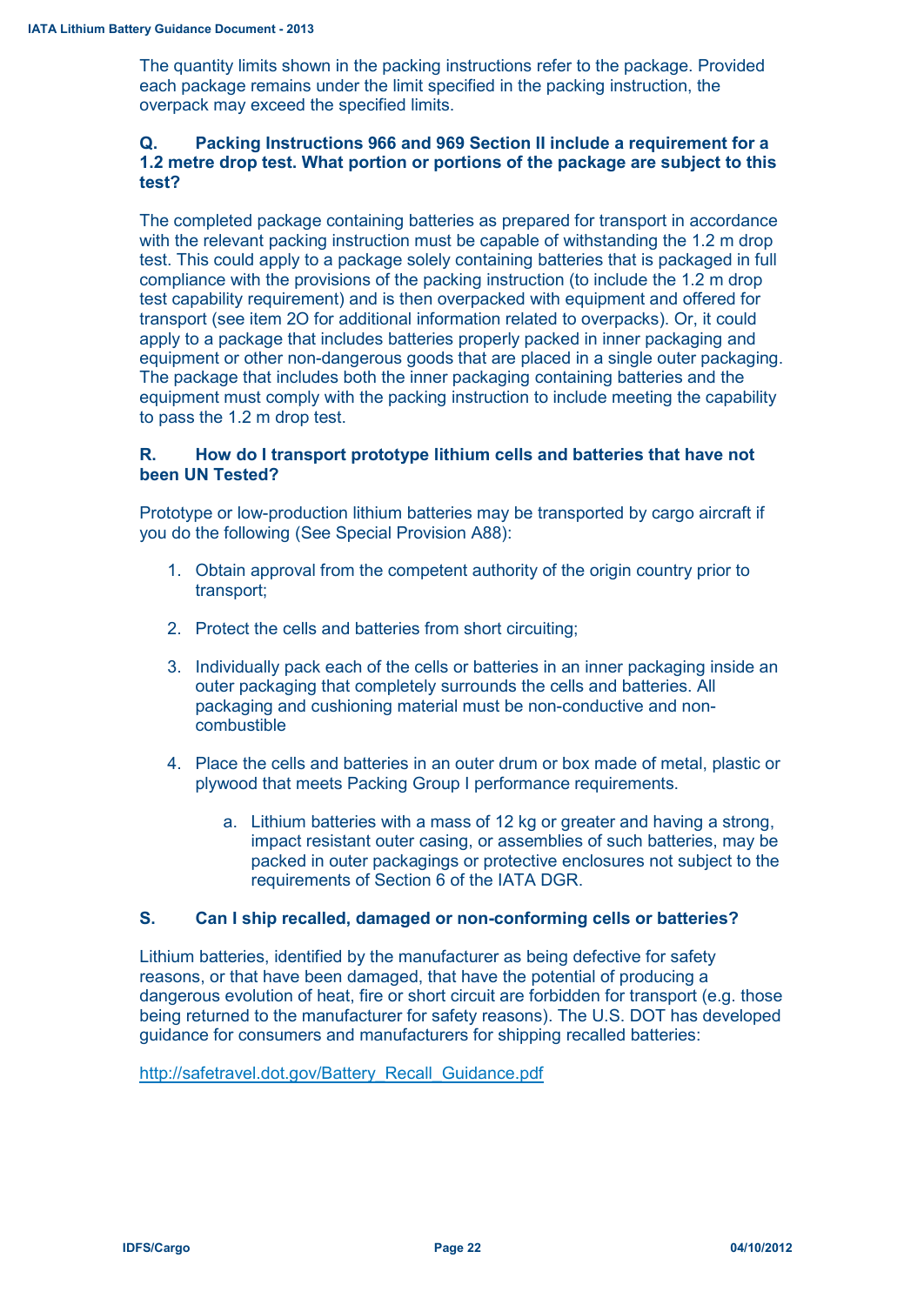The quantity limits shown in the packing instructions refer to the package. Provided each package remains under the limit specified in the packing instruction, the overpack may exceed the specified limits.

## **Q. Packing Instructions 966 and 969 Section II include a requirement for a 1.2 metre drop test. What portion or portions of the package are subject to this test?**

The completed package containing batteries as prepared for transport in accordance with the relevant packing instruction must be capable of withstanding the 1.2 m drop test. This could apply to a package solely containing batteries that is packaged in full compliance with the provisions of the packing instruction (to include the 1.2 m drop test capability requirement) and is then overpacked with equipment and offered for transport (see item 2O for additional information related to overpacks). Or, it could apply to a package that includes batteries properly packed in inner packaging and equipment or other non-dangerous goods that are placed in a single outer packaging. The package that includes both the inner packaging containing batteries and the equipment must comply with the packing instruction to include meeting the capability to pass the 1.2 m drop test.

## **R. How do I transport prototype lithium cells and batteries that have not been UN Tested?**

Prototype or low-production lithium batteries may be transported by cargo aircraft if you do the following (See Special Provision A88):

- 1. Obtain approval from the competent authority of the origin country prior to transport;
- 2. Protect the cells and batteries from short circuiting;
- 3. Individually pack each of the cells or batteries in an inner packaging inside an outer packaging that completely surrounds the cells and batteries. All packaging and cushioning material must be non-conductive and noncombustible
- 4. Place the cells and batteries in an outer drum or box made of metal, plastic or plywood that meets Packing Group I performance requirements.
	- a. Lithium batteries with a mass of 12 kg or greater and having a strong, impact resistant outer casing, or assemblies of such batteries, may be packed in outer packagings or protective enclosures not subject to the requirements of Section 6 of the IATA DGR.

## **S. Can I ship recalled, damaged or non-conforming cells or batteries?**

Lithium batteries, identified by the manufacturer as being defective for safety reasons, or that have been damaged, that have the potential of producing a dangerous evolution of heat, fire or short circuit are forbidden for transport (e.g. those being returned to the manufacturer for safety reasons). The U.S. DOT has developed guidance for consumers and manufacturers for shipping recalled batteries:

[http://safetravel.dot.gov/Battery\\_Recall\\_Guidance.pdf](http://safetravel.dot.gov/Battery_Recall_Guidance.pdf)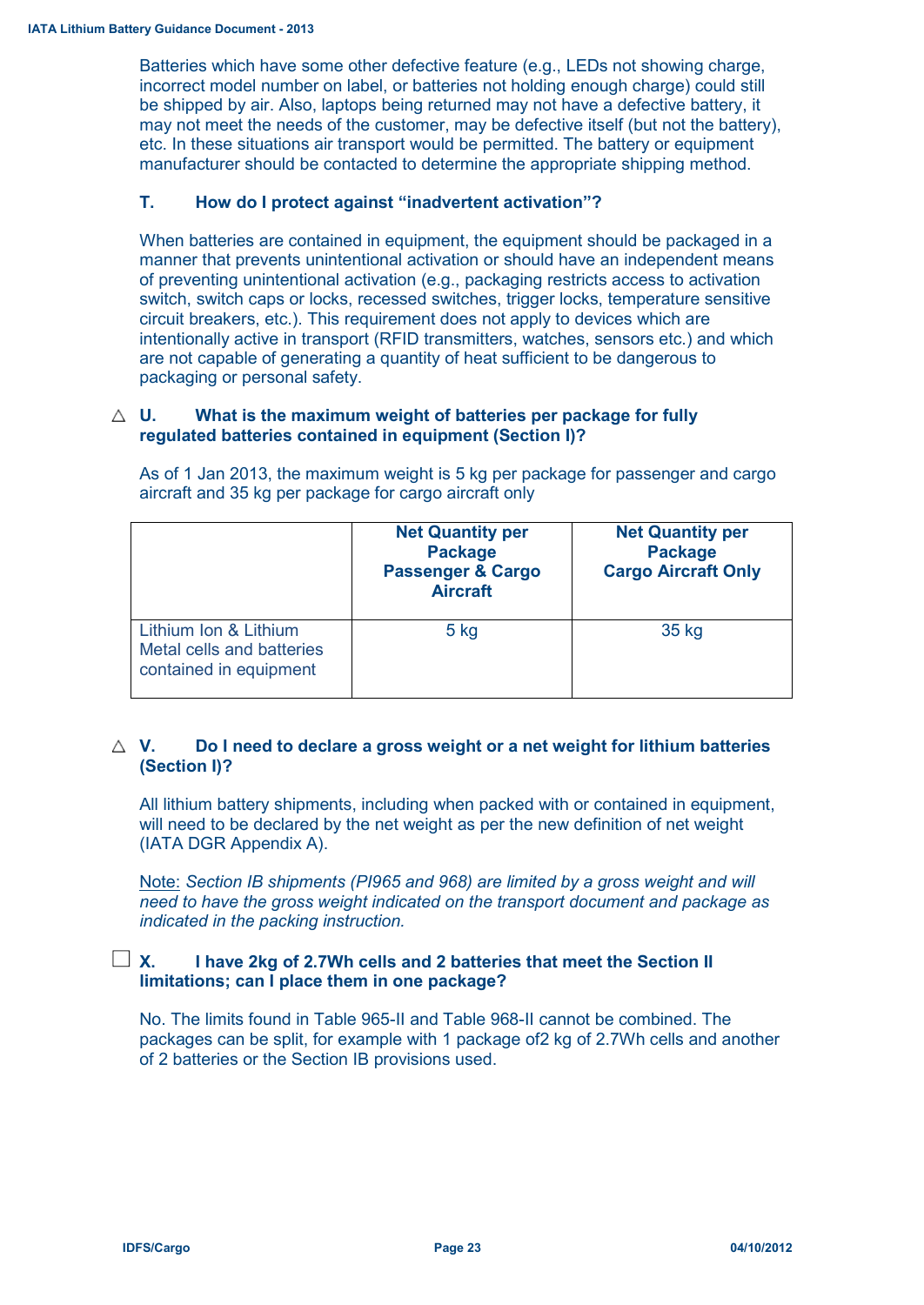Batteries which have some other defective feature (e.g., LEDs not showing charge, incorrect model number on label, or batteries not holding enough charge) could still be shipped by air. Also, laptops being returned may not have a defective battery, it may not meet the needs of the customer, may be defective itself (but not the battery), etc. In these situations air transport would be permitted. The battery or equipment manufacturer should be contacted to determine the appropriate shipping method.

## **T. How do I protect against "inadvertent activation"?**

When batteries are contained in equipment, the equipment should be packaged in a manner that prevents unintentional activation or should have an independent means of preventing unintentional activation (e.g., packaging restricts access to activation switch, switch caps or locks, recessed switches, trigger locks, temperature sensitive circuit breakers, etc.). This requirement does not apply to devices which are intentionally active in transport (RFID transmitters, watches, sensors etc.) and which are not capable of generating a quantity of heat sufficient to be dangerous to packaging or personal safety.

#### **U. What is the maximum weight of batteries per package for fully regulated batteries contained in equipment (Section I)?**

|                                                                              | <b>Net Quantity per</b><br><b>Package</b><br><b>Passenger &amp; Cargo</b><br><b>Aircraft</b> | <b>Net Quantity per</b><br><b>Package</b><br><b>Cargo Aircraft Only</b> |
|------------------------------------------------------------------------------|----------------------------------------------------------------------------------------------|-------------------------------------------------------------------------|
| Lithium Ion & Lithium<br>Metal cells and batteries<br>contained in equipment | $5$ kg                                                                                       | 35 kg                                                                   |

As of 1 Jan 2013, the maximum weight is 5 kg per package for passenger and cargo aircraft and 35 kg per package for cargo aircraft only

## **V. Do I need to declare a gross weight or a net weight for lithium batteries (Section I)?**

All lithium battery shipments, including when packed with or contained in equipment, will need to be declared by the net weight as per the new definition of net weight (IATA DGR Appendix A).

Note: *Section IB shipments (PI965 and 968) are limited by a gross weight and will need to have the gross weight indicated on the transport document and package as indicated in the packing instruction.*

## **X. I have 2kg of 2.7Wh cells and 2 batteries that meet the Section II limitations; can I place them in one package?**

No. The limits found in Table 965-II and Table 968-II cannot be combined. The packages can be split, for example with 1 package of2 kg of 2.7Wh cells and another of 2 batteries or the Section IB provisions used.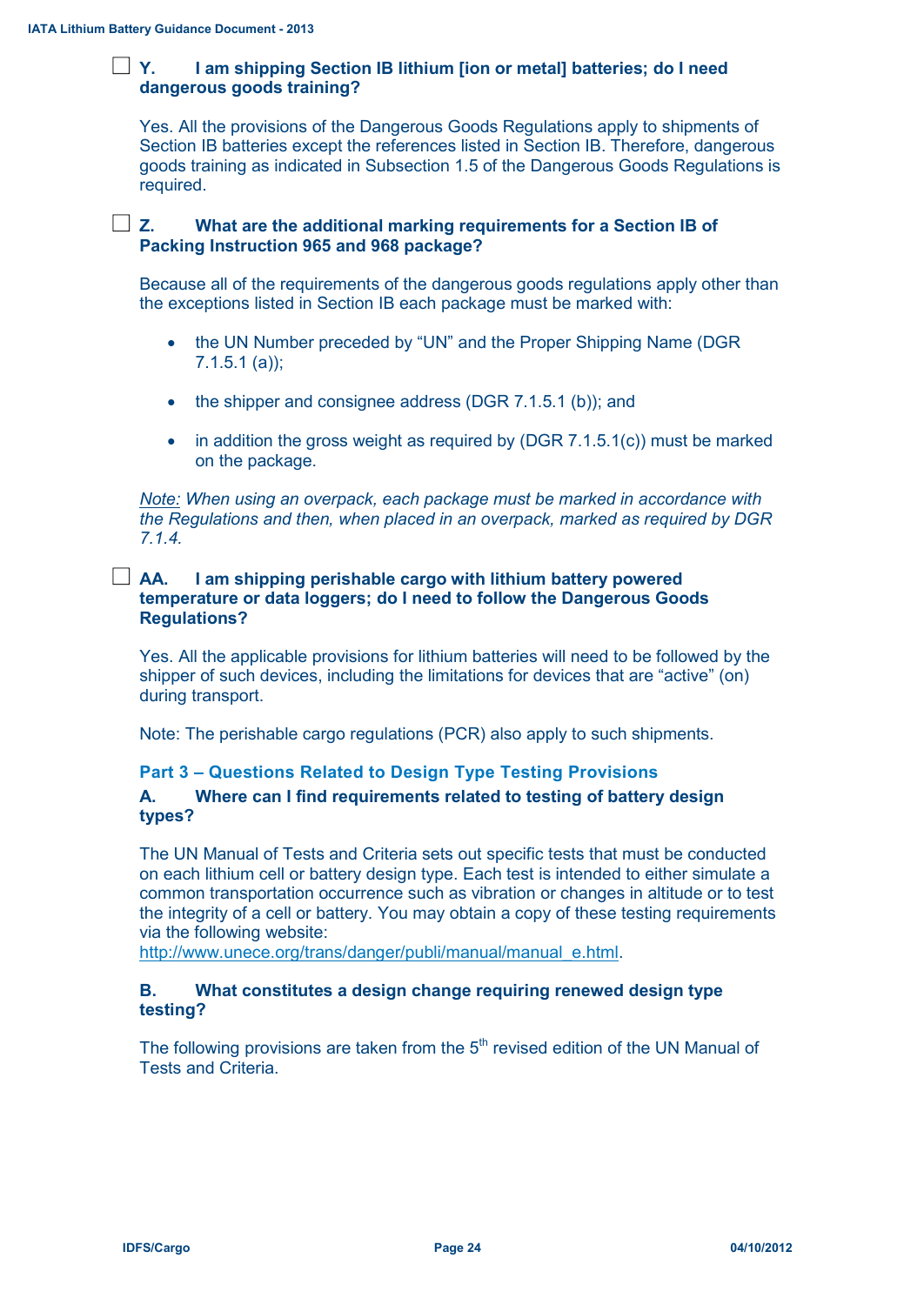## **Y. I am shipping Section IB lithium [ion or metal] batteries; do I need dangerous goods training?**

Yes. All the provisions of the Dangerous Goods Regulations apply to shipments of Section IB batteries except the references listed in Section IB. Therefore, dangerous goods training as indicated in Subsection 1.5 of the Dangerous Goods Regulations is required.

## **Z. What are the additional marking requirements for a Section IB of Packing Instruction 965 and 968 package?**

Because all of the requirements of the dangerous goods regulations apply other than the exceptions listed in Section IB each package must be marked with:

- the UN Number preceded by "UN" and the Proper Shipping Name (DGR 7.1.5.1 (a));
- the shipper and consignee address (DGR 7.1.5.1 (b)); and
- in addition the gross weight as required by (DGR  $7.1.5.1(c)$ ) must be marked on the package.

*Note: When using an overpack, each package must be marked in accordance with the Regulations and then, when placed in an overpack, marked as required by DGR 7.1.4.*

## **AA. I am shipping perishable cargo with lithium battery powered temperature or data loggers; do I need to follow the Dangerous Goods Regulations?**

Yes. All the applicable provisions for lithium batteries will need to be followed by the shipper of such devices, including the limitations for devices that are "active" (on) during transport.

Note: The perishable cargo regulations (PCR) also apply to such shipments.

## **Part 3 – Questions Related to Design Type Testing Provisions**

## **A. Where can I find requirements related to testing of battery design types?**

The UN Manual of Tests and Criteria sets out specific tests that must be conducted on each lithium cell or battery design type. Each test is intended to either simulate a common transportation occurrence such as vibration or changes in altitude or to test the integrity of a cell or battery. You may obtain a copy of these testing requirements via the following website:

[http://www.unece.org/trans/danger/publi/manual/manual\\_e.html.](http://www.unece.org/trans/danger/publi/manual/manual_e.html)

#### **B. What constitutes a design change requiring renewed design type testing?**

The following provisions are taken from the  $5<sup>th</sup>$  revised edition of the UN Manual of Tests and Criteria.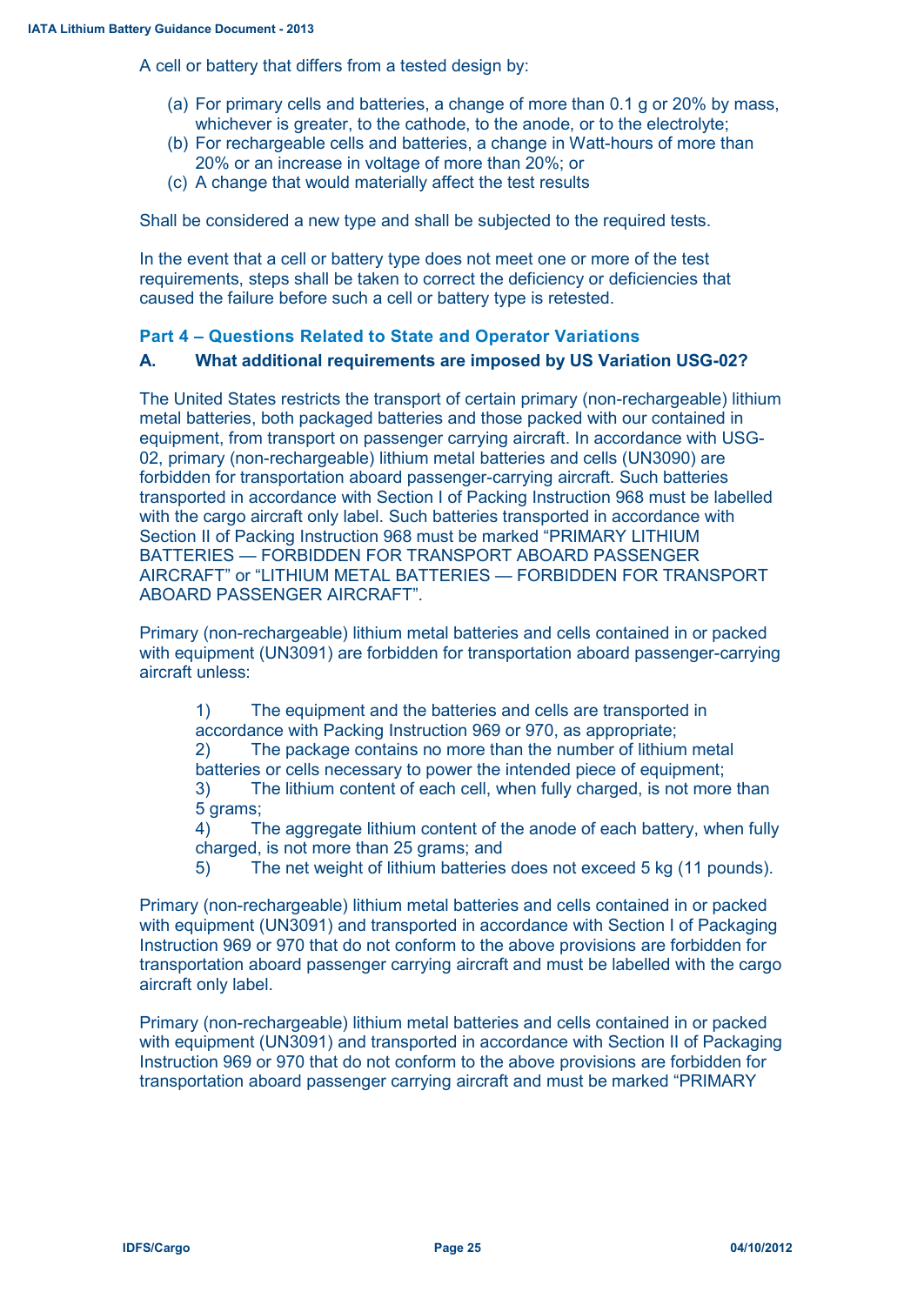A cell or battery that differs from a tested design by:

- (a) For primary cells and batteries, a change of more than 0.1 g or 20% by mass, whichever is greater, to the cathode, to the anode, or to the electrolyte;
- (b) For rechargeable cells and batteries, a change in Watt-hours of more than 20% or an increase in voltage of more than 20%; or
- (c) A change that would materially affect the test results

Shall be considered a new type and shall be subjected to the required tests.

In the event that a cell or battery type does not meet one or more of the test requirements, steps shall be taken to correct the deficiency or deficiencies that caused the failure before such a cell or battery type is retested.

## **Part 4 – Questions Related to State and Operator Variations**

## **A. What additional requirements are imposed by US Variation USG-02?**

The United States restricts the transport of certain primary (non-rechargeable) lithium metal batteries, both packaged batteries and those packed with our contained in equipment, from transport on passenger carrying aircraft. In accordance with USG-02, primary (non-rechargeable) lithium metal batteries and cells (UN3090) are forbidden for transportation aboard passenger-carrying aircraft. Such batteries transported in accordance with Section I of Packing Instruction 968 must be labelled with the cargo aircraft only label. Such batteries transported in accordance with Section II of Packing Instruction 968 must be marked "PRIMARY LITHIUM BATTERIES — FORBIDDEN FOR TRANSPORT ABOARD PASSENGER AIRCRAFT" or "LITHIUM METAL BATTERIES — FORBIDDEN FOR TRANSPORT ABOARD PASSENGER AIRCRAFT".

Primary (non-rechargeable) lithium metal batteries and cells contained in or packed with equipment (UN3091) are forbidden for transportation aboard passenger-carrying aircraft unless:

1) The equipment and the batteries and cells are transported in accordance with Packing Instruction 969 or 970, as appropriate; 2) The package contains no more than the number of lithium metal batteries or cells necessary to power the intended piece of equipment; 3) The lithium content of each cell, when fully charged, is not more than 5 grams;

4) The aggregate lithium content of the anode of each battery, when fully charged, is not more than 25 grams; and

5) The net weight of lithium batteries does not exceed 5 kg (11 pounds).

Primary (non-rechargeable) lithium metal batteries and cells contained in or packed with equipment (UN3091) and transported in accordance with Section I of Packaging Instruction 969 or 970 that do not conform to the above provisions are forbidden for transportation aboard passenger carrying aircraft and must be labelled with the cargo aircraft only label.

Primary (non-rechargeable) lithium metal batteries and cells contained in or packed with equipment (UN3091) and transported in accordance with Section II of Packaging Instruction 969 or 970 that do not conform to the above provisions are forbidden for transportation aboard passenger carrying aircraft and must be marked "PRIMARY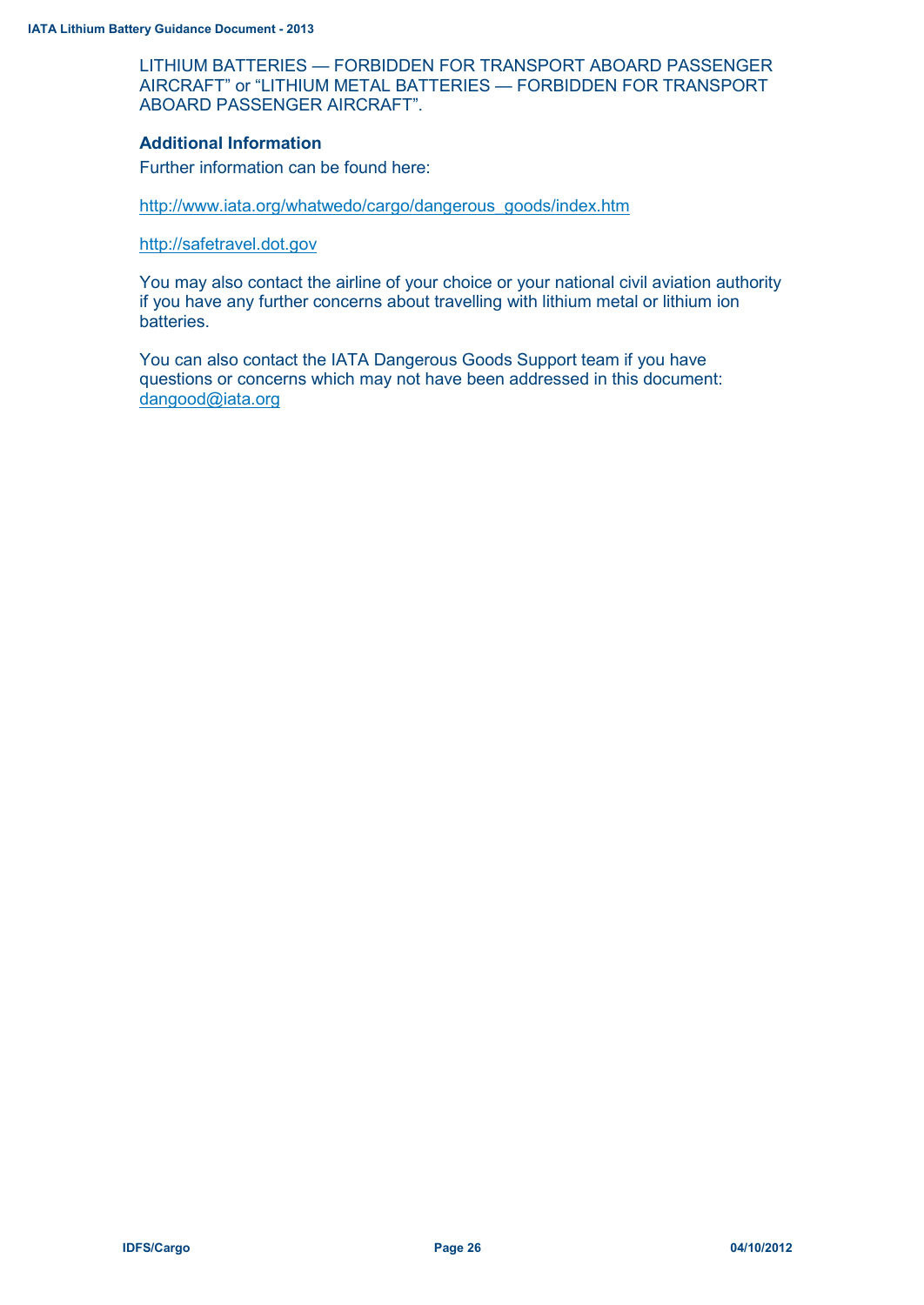LITHIUM BATTERIES — FORBIDDEN FOR TRANSPORT ABOARD PASSENGER AIRCRAFT" or "LITHIUM METAL BATTERIES — FORBIDDEN FOR TRANSPORT ABOARD PASSENGER AIRCRAFT".

#### **Additional Information**

Further information can be found here:

[http://www.iata.org/whatwedo/cargo/dangerous\\_goods/index.htm](http://www.iata.org/whatwedo/cargo/dangerous_goods/index.htm)

[http://safetravel.dot.gov](http://safetravel.dot.gov/)

You may also contact the airline of your choice or your national civil aviation authority if you have any further concerns about travelling with lithium metal or lithium ion batteries.

You can also contact the IATA Dangerous Goods Support team if you have questions or concerns which may not have been addressed in this document: [dangood@iata.org](mailto:dangood@iata.org)